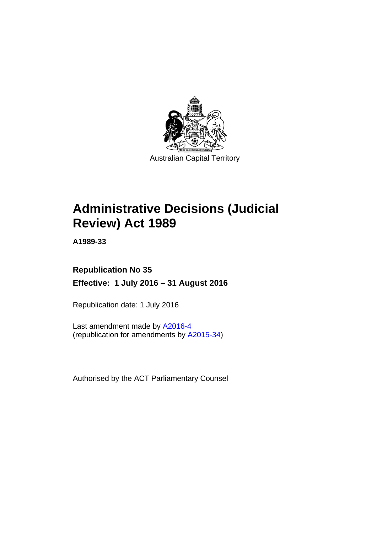

# **Administrative Decisions (Judicial Review) Act 1989**

**A1989-33** 

## **Republication No 35 Effective: 1 July 2016 – 31 August 2016**

Republication date: 1 July 2016

Last amendment made by [A2016-4](http://www.legislation.act.gov.au/a/2016-4) (republication for amendments by [A2015-34](http://www.legislation.act.gov.au/a/2015-34))

Authorised by the ACT Parliamentary Counsel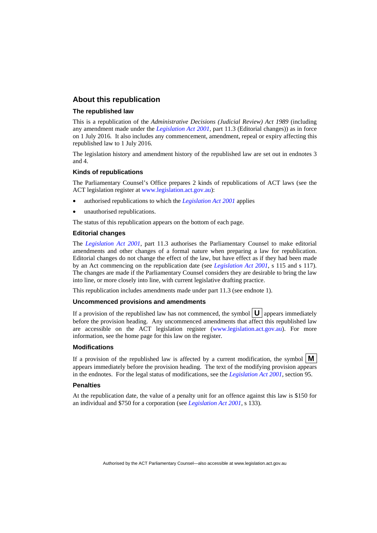## **About this republication**

#### **The republished law**

This is a republication of the *Administrative Decisions (Judicial Review) Act 1989* (including any amendment made under the *[Legislation Act 2001](http://www.legislation.act.gov.au/a/2001-14)*, part 11.3 (Editorial changes)) as in force on 1 July 2016*.* It also includes any commencement, amendment, repeal or expiry affecting this republished law to 1 July 2016.

The legislation history and amendment history of the republished law are set out in endnotes 3 and 4.

#### **Kinds of republications**

The Parliamentary Counsel's Office prepares 2 kinds of republications of ACT laws (see the ACT legislation register at [www.legislation.act.gov.au](http://www.legislation.act.gov.au/)):

- authorised republications to which the *[Legislation Act 2001](http://www.legislation.act.gov.au/a/2001-14)* applies
- unauthorised republications.

The status of this republication appears on the bottom of each page.

#### **Editorial changes**

The *[Legislation Act 2001](http://www.legislation.act.gov.au/a/2001-14)*, part 11.3 authorises the Parliamentary Counsel to make editorial amendments and other changes of a formal nature when preparing a law for republication. Editorial changes do not change the effect of the law, but have effect as if they had been made by an Act commencing on the republication date (see *[Legislation Act 2001](http://www.legislation.act.gov.au/a/2001-14)*, s 115 and s 117). The changes are made if the Parliamentary Counsel considers they are desirable to bring the law into line, or more closely into line, with current legislative drafting practice.

This republication includes amendments made under part 11.3 (see endnote 1).

#### **Uncommenced provisions and amendments**

If a provision of the republished law has not commenced, the symbol  $\mathbf{U}$  appears immediately before the provision heading. Any uncommenced amendments that affect this republished law are accessible on the ACT legislation register [\(www.legislation.act.gov.au\)](http://www.legislation.act.gov.au/). For more information, see the home page for this law on the register.

#### **Modifications**

If a provision of the republished law is affected by a current modification, the symbol  $\mathbf{M}$ appears immediately before the provision heading. The text of the modifying provision appears in the endnotes. For the legal status of modifications, see the *[Legislation Act 2001](http://www.legislation.act.gov.au/a/2001-14)*, section 95.

#### **Penalties**

At the republication date, the value of a penalty unit for an offence against this law is \$150 for an individual and \$750 for a corporation (see *[Legislation Act 2001](http://www.legislation.act.gov.au/a/2001-14)*, s 133).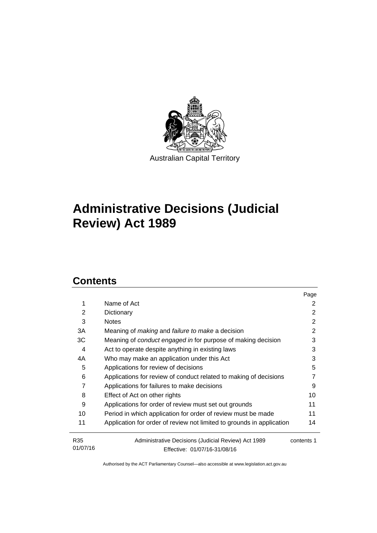

# **Administrative Decisions (Judicial Review) Act 1989**

## **Contents**

|                             |                                                                                     | Page       |
|-----------------------------|-------------------------------------------------------------------------------------|------------|
| 1                           | Name of Act                                                                         | 2          |
| 2                           | Dictionary                                                                          | 2          |
| 3                           | <b>Notes</b>                                                                        | 2          |
| 3A                          | Meaning of <i>making</i> and <i>failure to make</i> a decision                      | 2          |
| 3C                          | Meaning of <i>conduct engaged in</i> for purpose of making decision                 | 3          |
| 4                           | Act to operate despite anything in existing laws                                    | 3          |
| 4A                          | Who may make an application under this Act                                          | 3          |
| 5                           | Applications for review of decisions                                                | 5          |
| 6                           | Applications for review of conduct related to making of decisions                   |            |
| 7                           | Applications for failures to make decisions                                         | 9          |
| 8                           | Effect of Act on other rights                                                       | 10         |
| 9                           | Applications for order of review must set out grounds                               | 11         |
| 10                          | Period in which application for order of review must be made                        | 11         |
| 11                          | Application for order of review not limited to grounds in application               | 14         |
| R <sub>35</sub><br>01/07/16 | Administrative Decisions (Judicial Review) Act 1989<br>Effective: 01/07/16-31/08/16 | contents 1 |
|                             |                                                                                     |            |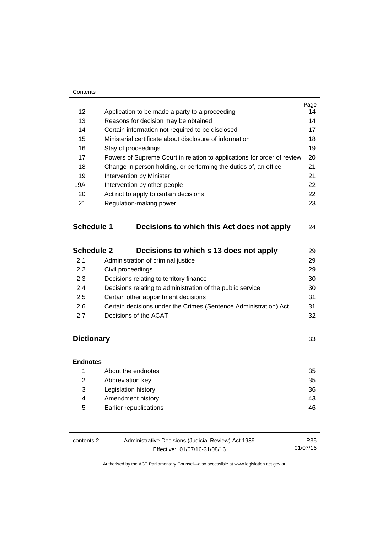#### **Contents**

|                   |                                                                         | Page |
|-------------------|-------------------------------------------------------------------------|------|
| 12                | Application to be made a party to a proceeding                          | 14   |
| 13                | Reasons for decision may be obtained                                    | 14   |
| 14                | Certain information not required to be disclosed                        | 17   |
| 15                | Ministerial certificate about disclosure of information                 | 18   |
| 16                | Stay of proceedings                                                     | 19   |
| 17                | Powers of Supreme Court in relation to applications for order of review | 20   |
| 18                | Change in person holding, or performing the duties of, an office        | 21   |
| 19                | Intervention by Minister                                                | 21   |
| 19A               | Intervention by other people                                            |      |
| 20                | Act not to apply to certain decisions                                   | 22   |
| 21                | Regulation-making power                                                 | 23   |
| <b>Schedule 1</b> | Decisions to which this Act does not apply                              | 24   |
| <b>Schedule 2</b> | Decisions to which s 13 does not apply                                  | 29   |
| 2.1               | Administration of criminal justice                                      | 29   |

| <u>.</u> | , withink when you will make power                               |    |
|----------|------------------------------------------------------------------|----|
| 2.2      | Civil proceedings                                                | 29 |
| 2.3      | Decisions relating to territory finance                          | 30 |
| 2.4      | Decisions relating to administration of the public service       | 30 |
| 2.5      | Certain other appointment decisions                              | 31 |
| 2.6      | Certain decisions under the Crimes (Sentence Administration) Act | 31 |
| 2.7      | Decisions of the ACAT                                            | 32 |
|          |                                                                  |    |

## **[Dictionary](#page-36-0)** [33](#page-36-0)

## **[Endnotes](#page-38-0)** 1 [About the endnotes 35](#page-38-1) 2 [Abbreviation key 35](#page-38-2) 3 [Legislation history 36](#page-39-0) 4 Amendment history **43** 5 [Earlier republications 46](#page-49-0)

| contents 2 | Administrative Decisions (Judicial Review) Act 1989 | R35      |
|------------|-----------------------------------------------------|----------|
|            | Effective: 01/07/16-31/08/16                        | 01/07/16 |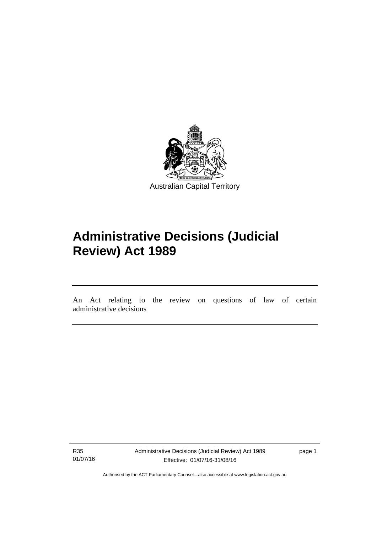

# **Administrative Decisions (Judicial Review) Act 1989**

An Act relating to the review on questions of law of certain administrative decisions

R35 01/07/16

l

Administrative Decisions (Judicial Review) Act 1989 Effective: 01/07/16-31/08/16

page 1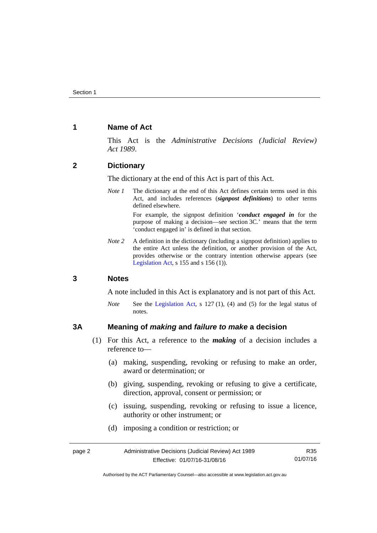## <span id="page-5-0"></span>**1 Name of Act**

This Act is the *Administrative Decisions (Judicial Review) Act 1989*.

## <span id="page-5-1"></span>**2 Dictionary**

The dictionary at the end of this Act is part of this Act.

*Note 1* The dictionary at the end of this Act defines certain terms used in this Act, and includes references (*signpost definitions*) to other terms defined elsewhere.

> For example, the signpost definition '*conduct engaged in* for the purpose of making a decision—see section 3C.' means that the term 'conduct engaged in' is defined in that section.

*Note 2* A definition in the dictionary (including a signpost definition) applies to the entire Act unless the definition, or another provision of the Act, provides otherwise or the contrary intention otherwise appears (see [Legislation Act,](http://www.legislation.act.gov.au/a/2001-14) s  $155$  and s  $156$  (1)).

## <span id="page-5-2"></span>**3 Notes**

A note included in this Act is explanatory and is not part of this Act.

*Note* See the [Legislation Act,](http://www.legislation.act.gov.au/a/2001-14) s 127 (1), (4) and (5) for the legal status of notes.

## <span id="page-5-3"></span>**3A Meaning of** *making* **and** *failure to make* **a decision**

- (1) For this Act, a reference to the *making* of a decision includes a reference to—
	- (a) making, suspending, revoking or refusing to make an order, award or determination; or
	- (b) giving, suspending, revoking or refusing to give a certificate, direction, approval, consent or permission; or
	- (c) issuing, suspending, revoking or refusing to issue a licence, authority or other instrument; or
	- (d) imposing a condition or restriction; or

| page 2 | Administrative Decisions (Judicial Review) Act 1989 | R35      |
|--------|-----------------------------------------------------|----------|
|        | Effective: 01/07/16-31/08/16                        | 01/07/16 |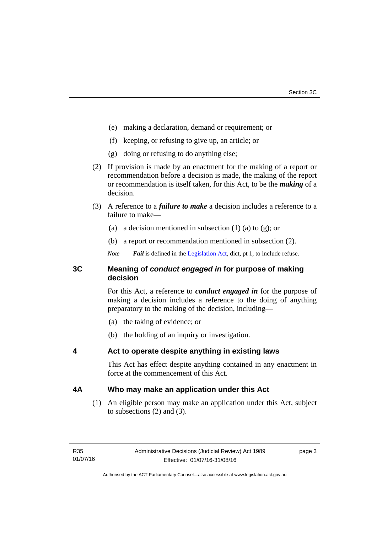- (e) making a declaration, demand or requirement; or
- (f) keeping, or refusing to give up, an article; or
- (g) doing or refusing to do anything else;
- (2) If provision is made by an enactment for the making of a report or recommendation before a decision is made, the making of the report or recommendation is itself taken, for this Act, to be the *making* of a decision.
- (3) A reference to a *failure to make* a decision includes a reference to a failure to make—
	- (a) a decision mentioned in subsection  $(1)$  (a) to  $(g)$ ; or
	- (b) a report or recommendation mentioned in subsection (2).
	- *Note Fail* is defined in the [Legislation Act](http://www.legislation.act.gov.au/a/2001-14), dict, pt 1, to include refuse.

## <span id="page-6-0"></span>**3C Meaning of** *conduct engaged in* **for purpose of making decision**

For this Act, a reference to *conduct engaged in* for the purpose of making a decision includes a reference to the doing of anything preparatory to the making of the decision, including—

- (a) the taking of evidence; or
- (b) the holding of an inquiry or investigation.

## <span id="page-6-1"></span>**4 Act to operate despite anything in existing laws**

This Act has effect despite anything contained in any enactment in force at the commencement of this Act.

## <span id="page-6-2"></span>**4A Who may make an application under this Act**

(1) An eligible person may make an application under this Act, subject to subsections (2) and (3).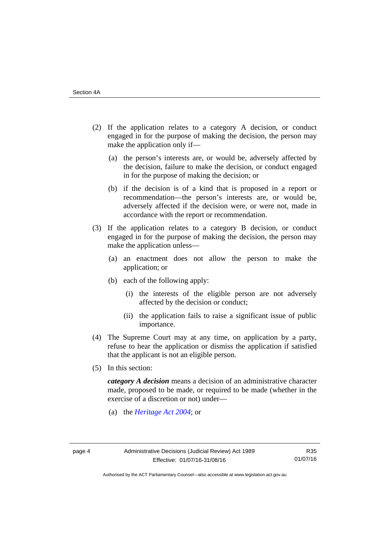- (2) If the application relates to a category A decision, or conduct engaged in for the purpose of making the decision, the person may make the application only if—
	- (a) the person's interests are, or would be, adversely affected by the decision, failure to make the decision, or conduct engaged in for the purpose of making the decision; or
	- (b) if the decision is of a kind that is proposed in a report or recommendation—the person's interests are, or would be, adversely affected if the decision were, or were not, made in accordance with the report or recommendation.
- (3) If the application relates to a category B decision, or conduct engaged in for the purpose of making the decision, the person may make the application unless—
	- (a) an enactment does not allow the person to make the application; or
	- (b) each of the following apply:
		- (i) the interests of the eligible person are not adversely affected by the decision or conduct;
		- (ii) the application fails to raise a significant issue of public importance.
- (4) The Supreme Court may at any time, on application by a party, refuse to hear the application or dismiss the application if satisfied that the applicant is not an eligible person.
- (5) In this section:

*category A decision* means a decision of an administrative character made, proposed to be made, or required to be made (whether in the exercise of a discretion or not) under—

(a) the *[Heritage Act 2004](http://www.legislation.act.gov.au/a/2004-57/default.asp)*; or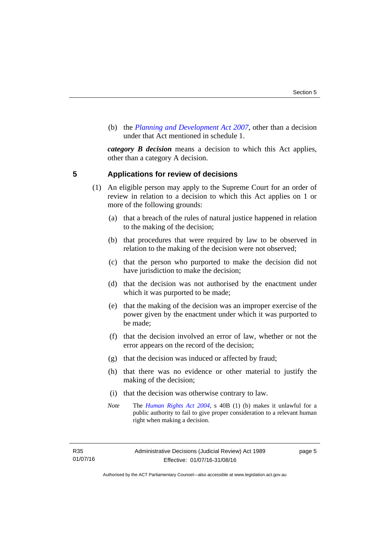(b) the *[Planning and Development Act 2007](http://www.legislation.act.gov.au/a/2007-24/default.asp)*, other than a decision under that Act mentioned in schedule 1.

*category B decision* means a decision to which this Act applies, other than a category A decision.

## <span id="page-8-0"></span>**5 Applications for review of decisions**

- (1) An eligible person may apply to the Supreme Court for an order of review in relation to a decision to which this Act applies on 1 or more of the following grounds:
	- (a) that a breach of the rules of natural justice happened in relation to the making of the decision;
	- (b) that procedures that were required by law to be observed in relation to the making of the decision were not observed;
	- (c) that the person who purported to make the decision did not have jurisdiction to make the decision;
	- (d) that the decision was not authorised by the enactment under which it was purported to be made;
	- (e) that the making of the decision was an improper exercise of the power given by the enactment under which it was purported to be made;
	- (f) that the decision involved an error of law, whether or not the error appears on the record of the decision;
	- (g) that the decision was induced or affected by fraud;
	- (h) that there was no evidence or other material to justify the making of the decision;
	- (i) that the decision was otherwise contrary to law.
	- *Note* The *[Human Rights Act 2004](http://www.legislation.act.gov.au/a/2004-5)*, s 40B (1) (b) makes it unlawful for a public authority to fail to give proper consideration to a relevant human right when making a decision.

R35 01/07/16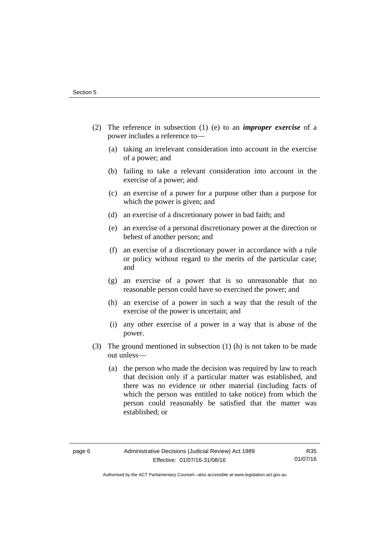- (2) The reference in subsection (1) (e) to an *improper exercise* of a power includes a reference to—
	- (a) taking an irrelevant consideration into account in the exercise of a power; and
	- (b) failing to take a relevant consideration into account in the exercise of a power; and
	- (c) an exercise of a power for a purpose other than a purpose for which the power is given; and
	- (d) an exercise of a discretionary power in bad faith; and
	- (e) an exercise of a personal discretionary power at the direction or behest of another person; and
	- (f) an exercise of a discretionary power in accordance with a rule or policy without regard to the merits of the particular case; and
	- (g) an exercise of a power that is so unreasonable that no reasonable person could have so exercised the power; and
	- (h) an exercise of a power in such a way that the result of the exercise of the power is uncertain; and
	- (i) any other exercise of a power in a way that is abuse of the power.
- (3) The ground mentioned in subsection (1) (h) is not taken to be made out unless—
	- (a) the person who made the decision was required by law to reach that decision only if a particular matter was established, and there was no evidence or other material (including facts of which the person was entitled to take notice) from which the person could reasonably be satisfied that the matter was established; or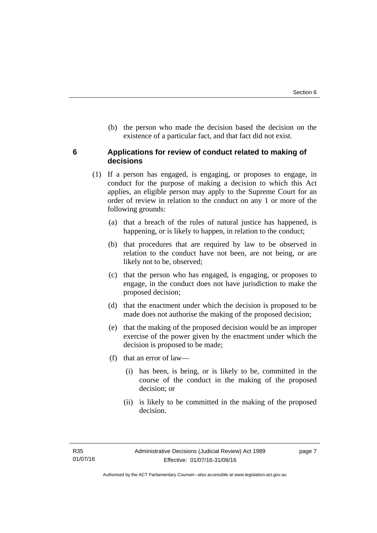(b) the person who made the decision based the decision on the existence of a particular fact, and that fact did not exist.

## <span id="page-10-0"></span>**6 Applications for review of conduct related to making of decisions**

- (1) If a person has engaged, is engaging, or proposes to engage, in conduct for the purpose of making a decision to which this Act applies, an eligible person may apply to the Supreme Court for an order of review in relation to the conduct on any 1 or more of the following grounds:
	- (a) that a breach of the rules of natural justice has happened, is happening, or is likely to happen, in relation to the conduct;
	- (b) that procedures that are required by law to be observed in relation to the conduct have not been, are not being, or are likely not to be, observed;
	- (c) that the person who has engaged, is engaging, or proposes to engage, in the conduct does not have jurisdiction to make the proposed decision;
	- (d) that the enactment under which the decision is proposed to be made does not authorise the making of the proposed decision;
	- (e) that the making of the proposed decision would be an improper exercise of the power given by the enactment under which the decision is proposed to be made;
	- (f) that an error of law—
		- (i) has been, is being, or is likely to be, committed in the course of the conduct in the making of the proposed decision; or
		- (ii) is likely to be committed in the making of the proposed decision.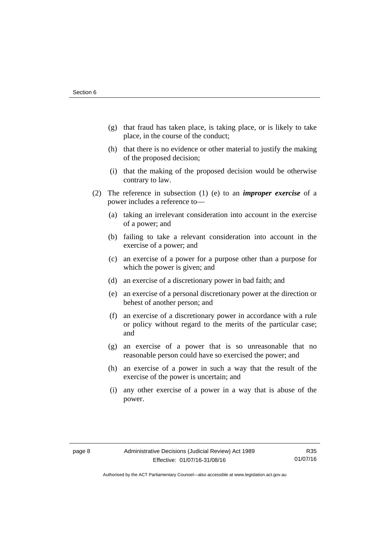- (g) that fraud has taken place, is taking place, or is likely to take place, in the course of the conduct;
- (h) that there is no evidence or other material to justify the making of the proposed decision;
- (i) that the making of the proposed decision would be otherwise contrary to law.
- (2) The reference in subsection (1) (e) to an *improper exercise* of a power includes a reference to—
	- (a) taking an irrelevant consideration into account in the exercise of a power; and
	- (b) failing to take a relevant consideration into account in the exercise of a power; and
	- (c) an exercise of a power for a purpose other than a purpose for which the power is given; and
	- (d) an exercise of a discretionary power in bad faith; and
	- (e) an exercise of a personal discretionary power at the direction or behest of another person; and
	- (f) an exercise of a discretionary power in accordance with a rule or policy without regard to the merits of the particular case; and
	- (g) an exercise of a power that is so unreasonable that no reasonable person could have so exercised the power; and
	- (h) an exercise of a power in such a way that the result of the exercise of the power is uncertain; and
	- (i) any other exercise of a power in a way that is abuse of the power.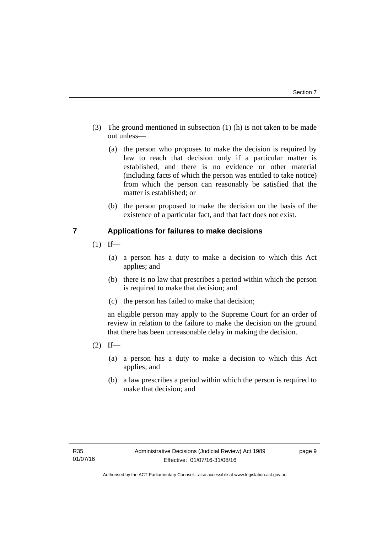- (3) The ground mentioned in subsection (1) (h) is not taken to be made out unless—
	- (a) the person who proposes to make the decision is required by law to reach that decision only if a particular matter is established, and there is no evidence or other material (including facts of which the person was entitled to take notice) from which the person can reasonably be satisfied that the matter is established; or
	- (b) the person proposed to make the decision on the basis of the existence of a particular fact, and that fact does not exist.

## <span id="page-12-0"></span>**7 Applications for failures to make decisions**

- $(1)$  If—
	- (a) a person has a duty to make a decision to which this Act applies; and
	- (b) there is no law that prescribes a period within which the person is required to make that decision; and
	- (c) the person has failed to make that decision;

an eligible person may apply to the Supreme Court for an order of review in relation to the failure to make the decision on the ground that there has been unreasonable delay in making the decision.

- $(2)$  If—
	- (a) a person has a duty to make a decision to which this Act applies; and
	- (b) a law prescribes a period within which the person is required to make that decision; and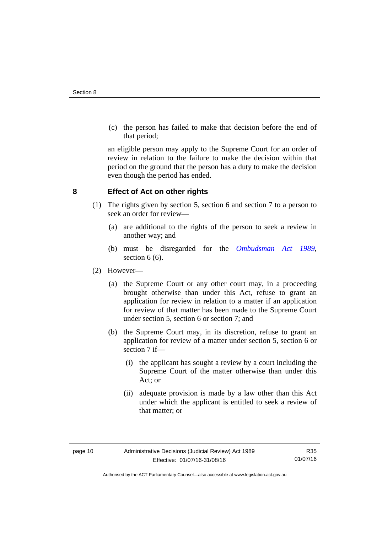(c) the person has failed to make that decision before the end of that period;

an eligible person may apply to the Supreme Court for an order of review in relation to the failure to make the decision within that period on the ground that the person has a duty to make the decision even though the period has ended.

## <span id="page-13-0"></span>**8 Effect of Act on other rights**

- (1) The rights given by section 5, section 6 and section 7 to a person to seek an order for review—
	- (a) are additional to the rights of the person to seek a review in another way; and
	- (b) must be disregarded for the *[Ombudsman Act 1989](http://www.legislation.act.gov.au/a/alt_a1989-45co)*, section 6 (6).
- (2) However—
	- (a) the Supreme Court or any other court may, in a proceeding brought otherwise than under this Act, refuse to grant an application for review in relation to a matter if an application for review of that matter has been made to the Supreme Court under section 5, section 6 or section 7; and
	- (b) the Supreme Court may, in its discretion, refuse to grant an application for review of a matter under section 5, section 6 or section 7 if—
		- (i) the applicant has sought a review by a court including the Supreme Court of the matter otherwise than under this Act; or
		- (ii) adequate provision is made by a law other than this Act under which the applicant is entitled to seek a review of that matter; or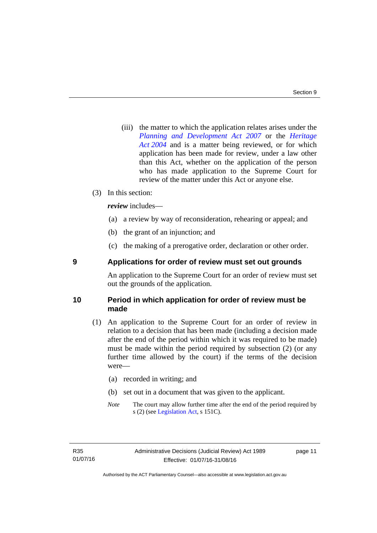(iii) the matter to which the application relates arises under the *[Planning and Development Act 2007](http://www.legislation.act.gov.au/a/2007-24)* or the *[Heritage](http://www.legislation.act.gov.au/a/2004-57)  [Act 2004](http://www.legislation.act.gov.au/a/2004-57)* and is a matter being reviewed, or for which application has been made for review, under a law other than this Act, whether on the application of the person who has made application to the Supreme Court for review of the matter under this Act or anyone else.

## (3) In this section:

*review* includes—

- (a) a review by way of reconsideration, rehearing or appeal; and
- (b) the grant of an injunction; and
- (c) the making of a prerogative order, declaration or other order.

## <span id="page-14-0"></span>**9 Applications for order of review must set out grounds**

An application to the Supreme Court for an order of review must set out the grounds of the application.

## <span id="page-14-1"></span>**10 Period in which application for order of review must be made**

- (1) An application to the Supreme Court for an order of review in relation to a decision that has been made (including a decision made after the end of the period within which it was required to be made) must be made within the period required by subsection (2) (or any further time allowed by the court) if the terms of the decision were—
	- (a) recorded in writing; and
	- (b) set out in a document that was given to the applicant.
	- *Note* The court may allow further time after the end of the period required by s (2) (see [Legislation Act](http://www.legislation.act.gov.au/a/2001-14), s 151C).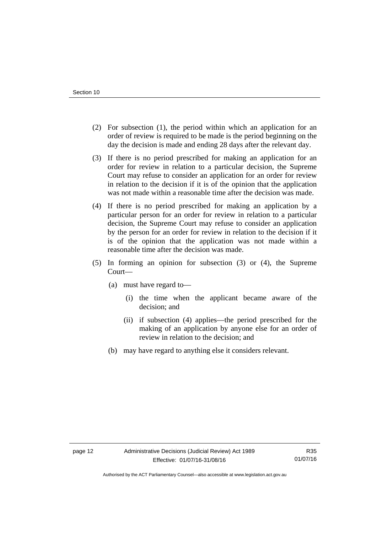- (2) For subsection (1), the period within which an application for an order of review is required to be made is the period beginning on the day the decision is made and ending 28 days after the relevant day.
- (3) If there is no period prescribed for making an application for an order for review in relation to a particular decision, the Supreme Court may refuse to consider an application for an order for review in relation to the decision if it is of the opinion that the application was not made within a reasonable time after the decision was made.
- (4) If there is no period prescribed for making an application by a particular person for an order for review in relation to a particular decision, the Supreme Court may refuse to consider an application by the person for an order for review in relation to the decision if it is of the opinion that the application was not made within a reasonable time after the decision was made.
- (5) In forming an opinion for subsection (3) or (4), the Supreme Court—
	- (a) must have regard to—
		- (i) the time when the applicant became aware of the decision; and
		- (ii) if subsection (4) applies—the period prescribed for the making of an application by anyone else for an order of review in relation to the decision; and
	- (b) may have regard to anything else it considers relevant.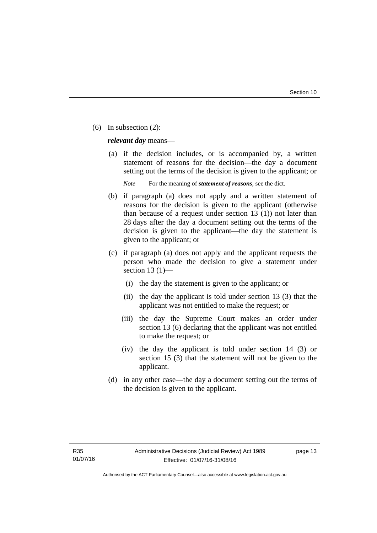(6) In subsection (2):

*relevant day* means—

 (a) if the decision includes, or is accompanied by, a written statement of reasons for the decision—the day a document setting out the terms of the decision is given to the applicant; or

*Note* For the meaning of *statement of reasons*, see the dict.

- (b) if paragraph (a) does not apply and a written statement of reasons for the decision is given to the applicant (otherwise than because of a request under section 13 (1)) not later than 28 days after the day a document setting out the terms of the decision is given to the applicant—the day the statement is given to the applicant; or
- (c) if paragraph (a) does not apply and the applicant requests the person who made the decision to give a statement under section 13 $(1)$ —
	- (i) the day the statement is given to the applicant; or
	- (ii) the day the applicant is told under section 13 (3) that the applicant was not entitled to make the request; or
	- (iii) the day the Supreme Court makes an order under section 13 (6) declaring that the applicant was not entitled to make the request; or
	- (iv) the day the applicant is told under section 14 (3) or section 15 (3) that the statement will not be given to the applicant.
- (d) in any other case—the day a document setting out the terms of the decision is given to the applicant.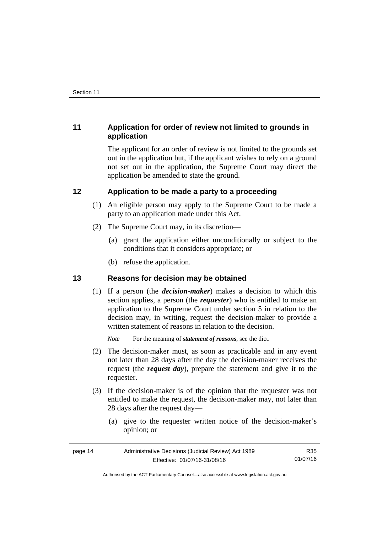## <span id="page-17-0"></span>**11 Application for order of review not limited to grounds in application**

The applicant for an order of review is not limited to the grounds set out in the application but, if the applicant wishes to rely on a ground not set out in the application, the Supreme Court may direct the application be amended to state the ground.

## <span id="page-17-1"></span>**12 Application to be made a party to a proceeding**

- (1) An eligible person may apply to the Supreme Court to be made a party to an application made under this Act.
- (2) The Supreme Court may, in its discretion—
	- (a) grant the application either unconditionally or subject to the conditions that it considers appropriate; or
	- (b) refuse the application.

## <span id="page-17-2"></span>**13 Reasons for decision may be obtained**

(1) If a person (the *decision-maker*) makes a decision to which this section applies, a person (the *requester*) who is entitled to make an application to the Supreme Court under section 5 in relation to the decision may, in writing, request the decision-maker to provide a written statement of reasons in relation to the decision.

*Note* For the meaning of *statement of reasons*, see the dict.

- (2) The decision-maker must, as soon as practicable and in any event not later than 28 days after the day the decision-maker receives the request (the *request day*), prepare the statement and give it to the requester.
- (3) If the decision-maker is of the opinion that the requester was not entitled to make the request, the decision-maker may, not later than 28 days after the request day—
	- (a) give to the requester written notice of the decision-maker's opinion; or

| page 14 | Administrative Decisions (Judicial Review) Act 1989 | R35      |
|---------|-----------------------------------------------------|----------|
|         | Effective: 01/07/16-31/08/16                        | 01/07/16 |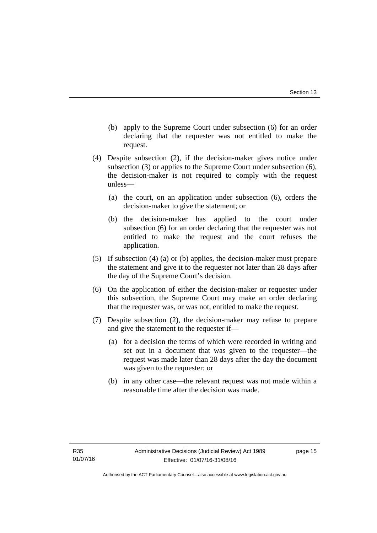- (b) apply to the Supreme Court under subsection (6) for an order declaring that the requester was not entitled to make the request.
- (4) Despite subsection (2), if the decision-maker gives notice under subsection (3) or applies to the Supreme Court under subsection (6), the decision-maker is not required to comply with the request unless—
	- (a) the court, on an application under subsection (6), orders the decision-maker to give the statement; or
	- (b) the decision-maker has applied to the court under subsection (6) for an order declaring that the requester was not entitled to make the request and the court refuses the application.
- (5) If subsection (4) (a) or (b) applies, the decision-maker must prepare the statement and give it to the requester not later than 28 days after the day of the Supreme Court's decision.
- (6) On the application of either the decision-maker or requester under this subsection, the Supreme Court may make an order declaring that the requester was, or was not, entitled to make the request.
- (7) Despite subsection (2), the decision-maker may refuse to prepare and give the statement to the requester if—
	- (a) for a decision the terms of which were recorded in writing and set out in a document that was given to the requester—the request was made later than 28 days after the day the document was given to the requester; or
	- (b) in any other case—the relevant request was not made within a reasonable time after the decision was made.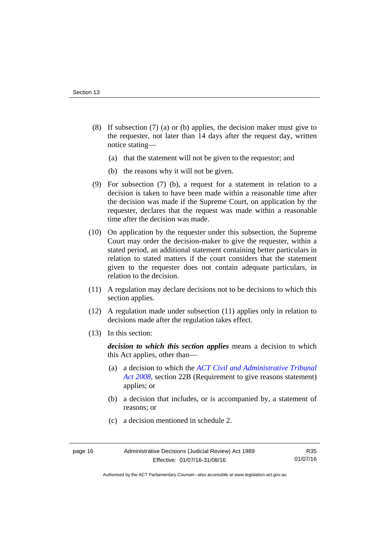- (8) If subsection (7) (a) or (b) applies, the decision maker must give to the requester, not later than 14 days after the request day, written notice stating—
	- (a) that the statement will not be given to the requestor; and
	- (b) the reasons why it will not be given.
- (9) For subsection (7) (b), a request for a statement in relation to a decision is taken to have been made within a reasonable time after the decision was made if the Supreme Court, on application by the requester, declares that the request was made within a reasonable time after the decision was made.
- (10) On application by the requester under this subsection, the Supreme Court may order the decision-maker to give the requester, within a stated period, an additional statement containing better particulars in relation to stated matters if the court considers that the statement given to the requester does not contain adequate particulars, in relation to the decision.
- (11) A regulation may declare decisions not to be decisions to which this section applies.
- (12) A regulation made under subsection (11) applies only in relation to decisions made after the regulation takes effect.
- (13) In this section:

*decision to which this section applies* means a decision to which this Act applies, other than—

- (a) a decision to which the *[ACT Civil and Administrative Tribunal](http://www.legislation.act.gov.au/a/2008-35)  [Act 2008](http://www.legislation.act.gov.au/a/2008-35)*, section 22B (Requirement to give reasons statement) applies; or
- (b) a decision that includes, or is accompanied by, a statement of reasons; or
- (c) a decision mentioned in schedule 2.

Authorised by the ACT Parliamentary Counsel—also accessible at www.legislation.act.gov.au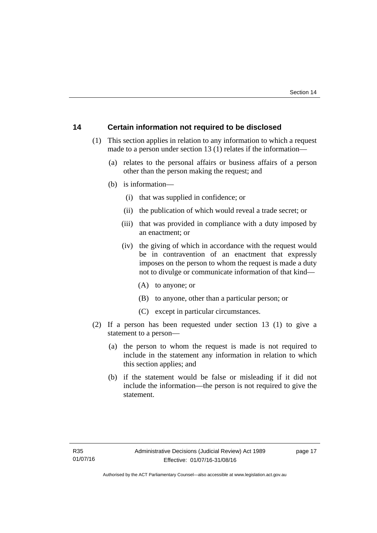## <span id="page-20-0"></span>**14 Certain information not required to be disclosed**

- (1) This section applies in relation to any information to which a request made to a person under section 13 (1) relates if the information—
	- (a) relates to the personal affairs or business affairs of a person other than the person making the request; and
	- (b) is information—
		- (i) that was supplied in confidence; or
		- (ii) the publication of which would reveal a trade secret; or
		- (iii) that was provided in compliance with a duty imposed by an enactment; or
		- (iv) the giving of which in accordance with the request would be in contravention of an enactment that expressly imposes on the person to whom the request is made a duty not to divulge or communicate information of that kind—
			- (A) to anyone; or
			- (B) to anyone, other than a particular person; or
			- (C) except in particular circumstances.
- (2) If a person has been requested under section 13 (1) to give a statement to a person—
	- (a) the person to whom the request is made is not required to include in the statement any information in relation to which this section applies; and
	- (b) if the statement would be false or misleading if it did not include the information—the person is not required to give the statement.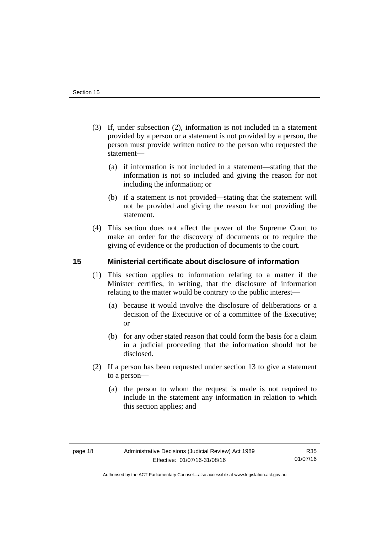- (3) If, under subsection (2), information is not included in a statement provided by a person or a statement is not provided by a person, the person must provide written notice to the person who requested the statement—
	- (a) if information is not included in a statement—stating that the information is not so included and giving the reason for not including the information; or
	- (b) if a statement is not provided—stating that the statement will not be provided and giving the reason for not providing the statement.
- (4) This section does not affect the power of the Supreme Court to make an order for the discovery of documents or to require the giving of evidence or the production of documents to the court.

## <span id="page-21-0"></span>**15 Ministerial certificate about disclosure of information**

- (1) This section applies to information relating to a matter if the Minister certifies, in writing, that the disclosure of information relating to the matter would be contrary to the public interest—
	- (a) because it would involve the disclosure of deliberations or a decision of the Executive or of a committee of the Executive; or
	- (b) for any other stated reason that could form the basis for a claim in a judicial proceeding that the information should not be disclosed.
- (2) If a person has been requested under section 13 to give a statement to a person—
	- (a) the person to whom the request is made is not required to include in the statement any information in relation to which this section applies; and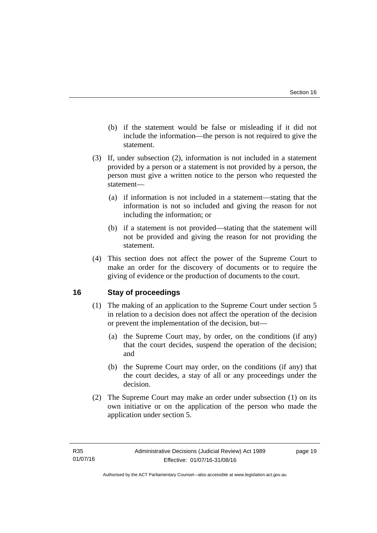- (b) if the statement would be false or misleading if it did not include the information—the person is not required to give the statement.
- (3) If, under subsection (2), information is not included in a statement provided by a person or a statement is not provided by a person, the person must give a written notice to the person who requested the statement—
	- (a) if information is not included in a statement—stating that the information is not so included and giving the reason for not including the information; or
	- (b) if a statement is not provided—stating that the statement will not be provided and giving the reason for not providing the statement.
- (4) This section does not affect the power of the Supreme Court to make an order for the discovery of documents or to require the giving of evidence or the production of documents to the court.

## <span id="page-22-0"></span>**16 Stay of proceedings**

- (1) The making of an application to the Supreme Court under section 5 in relation to a decision does not affect the operation of the decision or prevent the implementation of the decision, but—
	- (a) the Supreme Court may, by order, on the conditions (if any) that the court decides, suspend the operation of the decision; and
	- (b) the Supreme Court may order, on the conditions (if any) that the court decides, a stay of all or any proceedings under the decision.
- (2) The Supreme Court may make an order under subsection (1) on its own initiative or on the application of the person who made the application under section 5.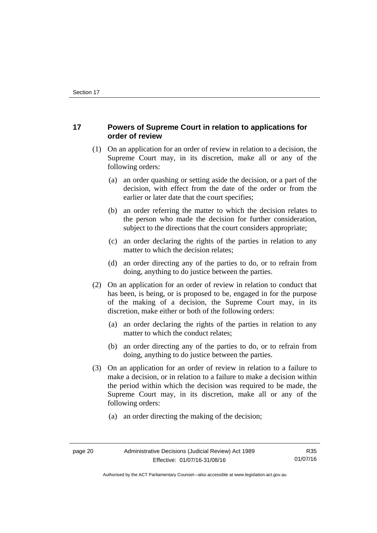## <span id="page-23-0"></span>**17 Powers of Supreme Court in relation to applications for order of review**

- (1) On an application for an order of review in relation to a decision, the Supreme Court may, in its discretion, make all or any of the following orders:
	- (a) an order quashing or setting aside the decision, or a part of the decision, with effect from the date of the order or from the earlier or later date that the court specifies;
	- (b) an order referring the matter to which the decision relates to the person who made the decision for further consideration, subject to the directions that the court considers appropriate;
	- (c) an order declaring the rights of the parties in relation to any matter to which the decision relates;
	- (d) an order directing any of the parties to do, or to refrain from doing, anything to do justice between the parties.
- (2) On an application for an order of review in relation to conduct that has been, is being, or is proposed to be, engaged in for the purpose of the making of a decision, the Supreme Court may, in its discretion, make either or both of the following orders:
	- (a) an order declaring the rights of the parties in relation to any matter to which the conduct relates;
	- (b) an order directing any of the parties to do, or to refrain from doing, anything to do justice between the parties.
- (3) On an application for an order of review in relation to a failure to make a decision, or in relation to a failure to make a decision within the period within which the decision was required to be made, the Supreme Court may, in its discretion, make all or any of the following orders:
	- (a) an order directing the making of the decision;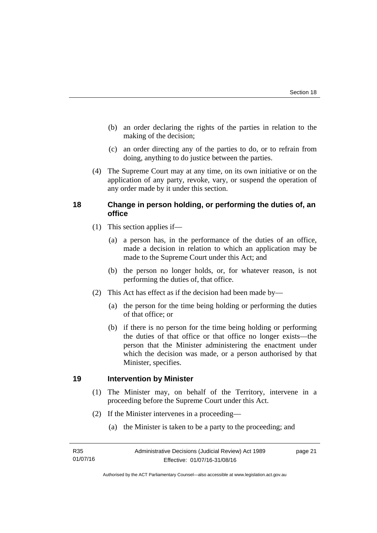- (b) an order declaring the rights of the parties in relation to the making of the decision;
- (c) an order directing any of the parties to do, or to refrain from doing, anything to do justice between the parties.
- (4) The Supreme Court may at any time, on its own initiative or on the application of any party, revoke, vary, or suspend the operation of any order made by it under this section.

## <span id="page-24-0"></span>**18 Change in person holding, or performing the duties of, an office**

- (1) This section applies if—
	- (a) a person has, in the performance of the duties of an office, made a decision in relation to which an application may be made to the Supreme Court under this Act; and
	- (b) the person no longer holds, or, for whatever reason, is not performing the duties of, that office.
- (2) This Act has effect as if the decision had been made by—
	- (a) the person for the time being holding or performing the duties of that office; or
	- (b) if there is no person for the time being holding or performing the duties of that office or that office no longer exists—the person that the Minister administering the enactment under which the decision was made, or a person authorised by that Minister, specifies.

## <span id="page-24-1"></span>**19 Intervention by Minister**

- (1) The Minister may, on behalf of the Territory, intervene in a proceeding before the Supreme Court under this Act.
- (2) If the Minister intervenes in a proceeding—
	- (a) the Minister is taken to be a party to the proceeding; and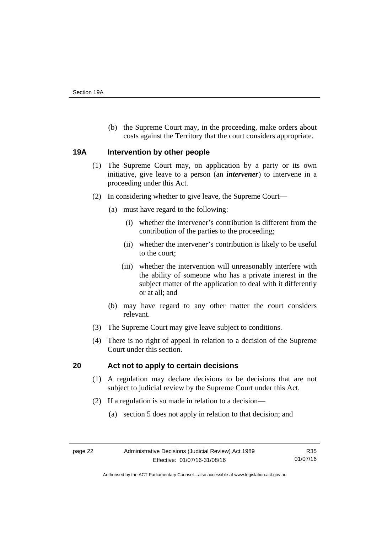(b) the Supreme Court may, in the proceeding, make orders about costs against the Territory that the court considers appropriate.

## <span id="page-25-0"></span>**19A Intervention by other people**

- (1) The Supreme Court may, on application by a party or its own initiative, give leave to a person (an *intervener*) to intervene in a proceeding under this Act.
- (2) In considering whether to give leave, the Supreme Court—
	- (a) must have regard to the following:
		- (i) whether the intervener's contribution is different from the contribution of the parties to the proceeding;
		- (ii) whether the intervener's contribution is likely to be useful to the court;
		- (iii) whether the intervention will unreasonably interfere with the ability of someone who has a private interest in the subject matter of the application to deal with it differently or at all; and
	- (b) may have regard to any other matter the court considers relevant.
- (3) The Supreme Court may give leave subject to conditions.
- (4) There is no right of appeal in relation to a decision of the Supreme Court under this section.

## <span id="page-25-1"></span>**20 Act not to apply to certain decisions**

- (1) A regulation may declare decisions to be decisions that are not subject to judicial review by the Supreme Court under this Act.
- (2) If a regulation is so made in relation to a decision—
	- (a) section 5 does not apply in relation to that decision; and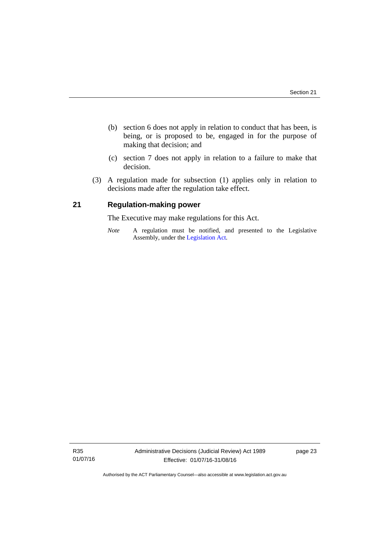- (b) section 6 does not apply in relation to conduct that has been, is being, or is proposed to be, engaged in for the purpose of making that decision; and
- (c) section 7 does not apply in relation to a failure to make that decision.
- (3) A regulation made for subsection (1) applies only in relation to decisions made after the regulation take effect.

## <span id="page-26-0"></span>**21 Regulation-making power**

The Executive may make regulations for this Act.

*Note* A regulation must be notified, and presented to the Legislative Assembly, under the [Legislation Act](http://www.legislation.act.gov.au/a/2001-14).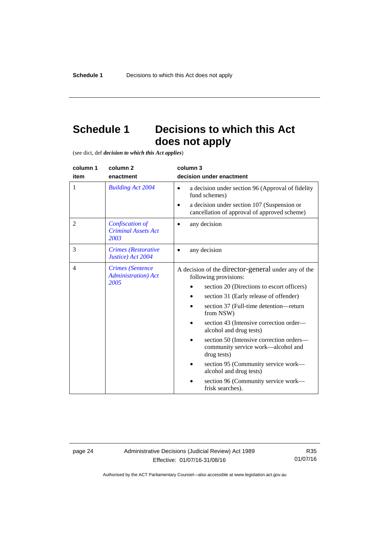## <span id="page-27-0"></span>**Schedule 1 Decisions to which this Act does not apply**

(see dict, def *decision to which this Act applies*)

| column 1<br>item | column 2<br>enactment                                  | column 3<br>decision under enactment                                                          |
|------------------|--------------------------------------------------------|-----------------------------------------------------------------------------------------------|
| 1                | <b>Building Act 2004</b>                               | a decision under section 96 (Approval of fidelity<br>$\bullet$<br>fund schemes)               |
|                  |                                                        | a decision under section 107 (Suspension or<br>cancellation of approval of approved scheme)   |
| $\overline{2}$   | Confiscation of<br><b>Criminal Assets Act</b><br>2003  | any decision                                                                                  |
| 3                | Crimes (Restorative<br>Justice) Act 2004               | any decision                                                                                  |
| $\overline{4}$   | <b>Crimes</b> (Sentence<br><b>Administration</b> ) Act | A decision of the director-general under any of the<br>following provisions:                  |
|                  | 2005                                                   | section 20 (Directions to escort officers)                                                    |
|                  |                                                        | section 31 (Early release of offender)                                                        |
|                  |                                                        | section 37 (Full-time detention-return<br>from NSW)                                           |
|                  |                                                        | section 43 (Intensive correction order—<br>alcohol and drug tests)                            |
|                  |                                                        | section 50 (Intensive correction orders-<br>community service work—alcohol and<br>drug tests) |
|                  |                                                        | section 95 (Community service work—<br>alcohol and drug tests)                                |
|                  |                                                        | section 96 (Community service work-<br>frisk searches).                                       |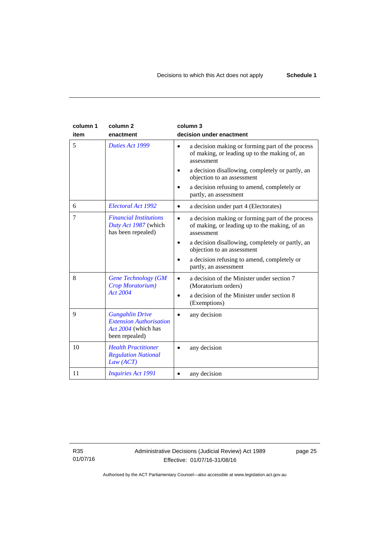| column 1<br>item | column <sub>2</sub><br>enactment                                                                  | column 3<br>decision under enactment                                                                                         |
|------------------|---------------------------------------------------------------------------------------------------|------------------------------------------------------------------------------------------------------------------------------|
| 5                | Duties Act 1999                                                                                   | a decision making or forming part of the process<br>$\bullet$<br>of making, or leading up to the making of, an<br>assessment |
|                  |                                                                                                   | a decision disallowing, completely or partly, an<br>objection to an assessment                                               |
|                  |                                                                                                   | a decision refusing to amend, completely or<br>partly, an assessment                                                         |
| 6                | Electoral Act 1992                                                                                | a decision under part 4 (Electorates)<br>$\bullet$                                                                           |
| 7                | <b>Financial Institutions</b><br>Duty Act 1987 (which<br>has been repealed)                       | a decision making or forming part of the process<br>$\bullet$<br>of making, or leading up to the making, of an<br>assessment |
|                  |                                                                                                   | a decision disallowing, completely or partly, an<br>$\bullet$<br>objection to an assessment                                  |
|                  |                                                                                                   | a decision refusing to amend, completely or<br>partly, an assessment                                                         |
| 8                | <b>Gene Technology (GM</b><br>Crop Moratorium)                                                    | a decision of the Minister under section 7<br>$\bullet$<br>(Moratorium orders)                                               |
|                  | Act 2004                                                                                          | a decision of the Minister under section 8<br>$\bullet$<br>(Exemptions)                                                      |
| 9                | <b>Gungahlin Drive</b><br><b>Extension Authorisation</b><br>Act 2004 (which has<br>been repealed) | any decision                                                                                                                 |
| 10               | <b>Health Practitioner</b><br><b>Regulation National</b><br>Law (ACT)                             | any decision                                                                                                                 |
| 11               | <b>Inquiries Act 1991</b>                                                                         | any decision                                                                                                                 |

R35 01/07/16 page 25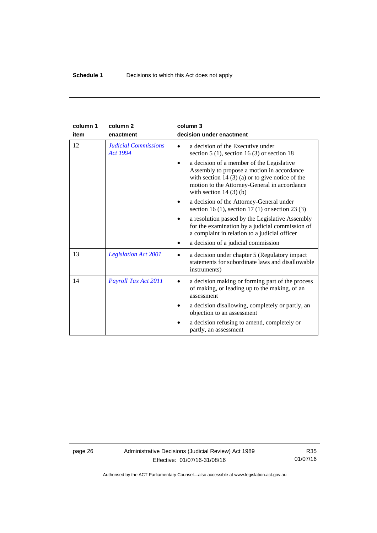| column 1 | column <sub>2</sub>                            | column 3                                                                                                                                                                                                               |
|----------|------------------------------------------------|------------------------------------------------------------------------------------------------------------------------------------------------------------------------------------------------------------------------|
| item     | enactment                                      | decision under enactment                                                                                                                                                                                               |
| 12       | <b>Judicial Commissions</b><br><b>Act 1994</b> | a decision of the Executive under<br>section $5(1)$ , section $16(3)$ or section 18                                                                                                                                    |
|          |                                                | a decision of a member of the Legislative<br>Assembly to propose a motion in accordance<br>with section $14(3)(a)$ or to give notice of the<br>motion to the Attorney-General in accordance<br>with section $14(3)(b)$ |
|          |                                                | a decision of the Attorney-General under<br>section 16 (1), section 17 (1) or section 23 (3)                                                                                                                           |
|          |                                                | a resolution passed by the Legislative Assembly<br>for the examination by a judicial commission of<br>a complaint in relation to a judicial officer                                                                    |
|          |                                                | a decision of a judicial commission                                                                                                                                                                                    |
| 13       | <b>Legislation Act 2001</b>                    | a decision under chapter 5 (Regulatory impact)<br>$\bullet$<br>statements for subordinate laws and disallowable<br>instruments)                                                                                        |
| 14       | Payroll Tax Act 2011                           | a decision making or forming part of the process<br>of making, or leading up to the making, of an<br>assessment                                                                                                        |
|          |                                                | a decision disallowing, completely or partly, an<br>objection to an assessment                                                                                                                                         |
|          |                                                | a decision refusing to amend, completely or<br>partly, an assessment                                                                                                                                                   |

page 26 Administrative Decisions (Judicial Review) Act 1989 Effective: 01/07/16-31/08/16

R35 01/07/16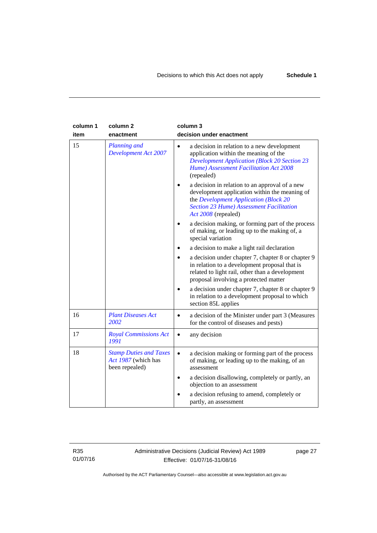| column 1<br>item | column <sub>2</sub><br>enactment                                       | column 3<br>decision under enactment                                                                                                                                                                               |
|------------------|------------------------------------------------------------------------|--------------------------------------------------------------------------------------------------------------------------------------------------------------------------------------------------------------------|
| 15               | <b>Planning and</b><br><b>Development Act 2007</b>                     | a decision in relation to a new development<br>$\bullet$<br>application within the meaning of the<br><b>Development Application (Block 20 Section 23</b><br>Hume) Assessment Facilitation Act 2008<br>(repealed)   |
|                  |                                                                        | a decision in relation to an approval of a new<br>development application within the meaning of<br>the Development Application (Block 20<br><b>Section 23 Hume) Assessment Facilitation</b><br>Act 2008 (repealed) |
|                  |                                                                        | a decision making, or forming part of the process<br>of making, or leading up to the making of, a<br>special variation                                                                                             |
|                  |                                                                        | a decision to make a light rail declaration                                                                                                                                                                        |
|                  |                                                                        | a decision under chapter 7, chapter 8 or chapter 9<br>in relation to a development proposal that is<br>related to light rail, other than a development<br>proposal involving a protected matter                    |
|                  |                                                                        | a decision under chapter 7, chapter 8 or chapter 9<br>in relation to a development proposal to which<br>section 85L applies                                                                                        |
| 16               | <b>Plant Diseases Act</b><br>2002                                      | a decision of the Minister under part 3 (Measures<br>$\bullet$<br>for the control of diseases and pests)                                                                                                           |
| 17               | <b>Royal Commissions Act</b><br>1991                                   | any decision<br>$\bullet$                                                                                                                                                                                          |
| 18               | <b>Stamp Duties and Taxes</b><br>Act 1987 (which has<br>been repealed) | a decision making or forming part of the process<br>$\bullet$<br>of making, or leading up to the making, of an<br>assessment                                                                                       |
|                  |                                                                        | a decision disallowing, completely or partly, an<br>$\bullet$<br>objection to an assessment                                                                                                                        |
|                  |                                                                        | a decision refusing to amend, completely or<br>partly, an assessment                                                                                                                                               |

R35 01/07/16 Administrative Decisions (Judicial Review) Act 1989 Effective: 01/07/16-31/08/16

page 27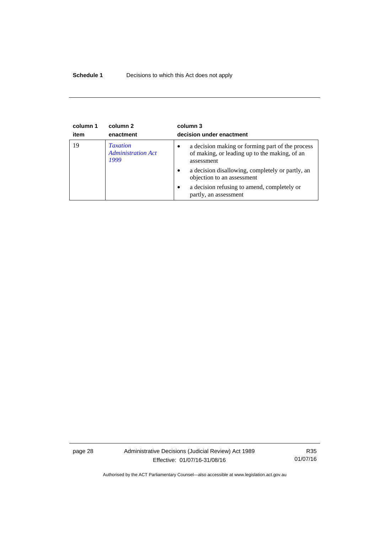## **Schedule 1** Decisions to which this Act does not apply

| column 1<br>item | column 2<br>enactment                                | column 3<br>decision under enactment                                                                                         |
|------------------|------------------------------------------------------|------------------------------------------------------------------------------------------------------------------------------|
| 19               | <b>Taxation</b><br><b>Administration Act</b><br>1999 | a decision making or forming part of the process<br>$\bullet$<br>of making, or leading up to the making, of an<br>assessment |
|                  |                                                      | a decision disallowing, completely or partly, an<br>$\bullet$<br>objection to an assessment                                  |
|                  |                                                      | a decision refusing to amend, completely or<br>$\bullet$<br>partly, an assessment                                            |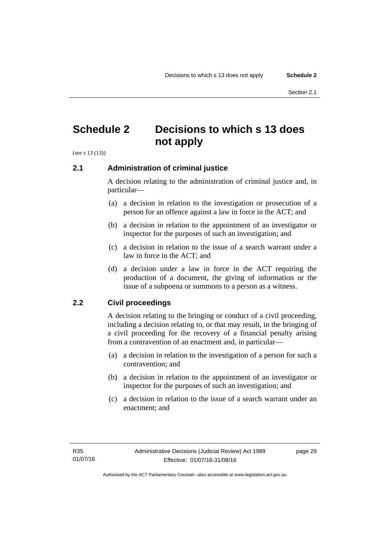## <span id="page-32-0"></span>**Schedule 2 Decisions to which s 13 does not apply**

(see s 13 (13))

## <span id="page-32-1"></span>**2.1 Administration of criminal justice**

A decision relating to the administration of criminal justice and, in particular—

- (a) a decision in relation to the investigation or prosecution of a person for an offence against a law in force in the ACT; and
- (b) a decision in relation to the appointment of an investigator or inspector for the purposes of such an investigation; and
- (c) a decision in relation to the issue of a search warrant under a law in force in the ACT; and
- (d) a decision under a law in force in the ACT requiring the production of a document, the giving of information or the issue of a subpoena or summons to a person as a witness.

## <span id="page-32-2"></span>**2.2 Civil proceedings**

A decision relating to the bringing or conduct of a civil proceeding, including a decision relating to, or that may result, in the bringing of a civil proceeding for the recovery of a financial penalty arising from a contravention of an enactment and, in particular—

- (a) a decision in relation to the investigation of a person for such a contravention; and
- (b) a decision in relation to the appointment of an investigator or inspector for the purposes of such an investigation; and
- (c) a decision in relation to the issue of a search warrant under an enactment; and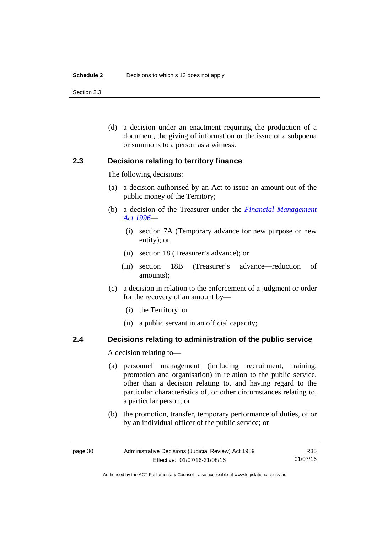#### **Schedule 2** Decisions to which s 13 does not apply

Section 2.3

 (d) a decision under an enactment requiring the production of a document, the giving of information or the issue of a subpoena or summons to a person as a witness.

## <span id="page-33-0"></span>**2.3 Decisions relating to territory finance**

The following decisions:

- (a) a decision authorised by an Act to issue an amount out of the public money of the Territory;
- (b) a decision of the Treasurer under the *[Financial Management](http://www.legislation.act.gov.au/a/1996-22)  [Act 1996](http://www.legislation.act.gov.au/a/1996-22)*—
	- (i) section 7A (Temporary advance for new purpose or new entity); or
	- (ii) section 18 (Treasurer's advance); or
	- (iii) section 18B (Treasurer's advance—reduction of amounts);
- (c) a decision in relation to the enforcement of a judgment or order for the recovery of an amount by—
	- (i) the Territory; or
	- (ii) a public servant in an official capacity;

## <span id="page-33-1"></span>**2.4 Decisions relating to administration of the public service**

A decision relating to—

- (a) personnel management (including recruitment, training, promotion and organisation) in relation to the public service, other than a decision relating to, and having regard to the particular characteristics of, or other circumstances relating to, a particular person; or
- (b) the promotion, transfer, temporary performance of duties, of or by an individual officer of the public service; or

Authorised by the ACT Parliamentary Counsel—also accessible at www.legislation.act.gov.au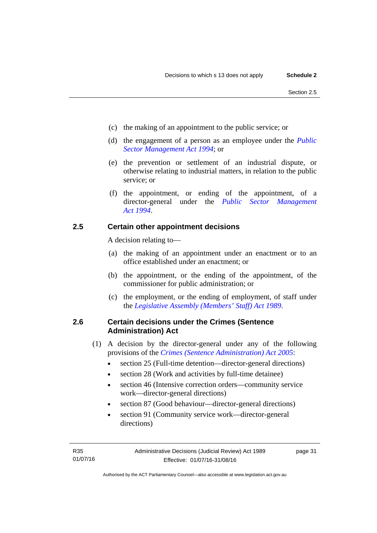- (c) the making of an appointment to the public service; or
- (d) the engagement of a person as an employee under the *[Public](http://www.legislation.act.gov.au/a/1994-37)  [Sector Management Act 1994](http://www.legislation.act.gov.au/a/1994-37)*; or
- (e) the prevention or settlement of an industrial dispute, or otherwise relating to industrial matters, in relation to the public service; or
- (f) the appointment, or ending of the appointment, of a director-general under the *[Public Sector Management](http://www.legislation.act.gov.au/a/1994-37)  [Act 1994](http://www.legislation.act.gov.au/a/1994-37)*.

## <span id="page-34-0"></span>**2.5 Certain other appointment decisions**

A decision relating to—

- (a) the making of an appointment under an enactment or to an office established under an enactment; or
- (b) the appointment, or the ending of the appointment, of the commissioner for public administration; or
- (c) the employment, or the ending of employment, of staff under the *[Legislative Assembly \(Members' Staff\) Act 1989](http://www.legislation.act.gov.au/a/1989-19)*.

## <span id="page-34-1"></span>**2.6 Certain decisions under the Crimes (Sentence Administration) Act**

- (1) A decision by the director-general under any of the following provisions of the *[Crimes \(Sentence Administration\) Act 2005](http://www.legislation.act.gov.au/a/2005-59)*:
	- section 25 (Full-time detention—director-general directions)
	- section 28 (Work and activities by full-time detainee)
	- section 46 (Intensive correction orders—community service work—director-general directions)
	- section 87 (Good behaviour—director-general directions)
	- section 91 (Community service work—director-general directions)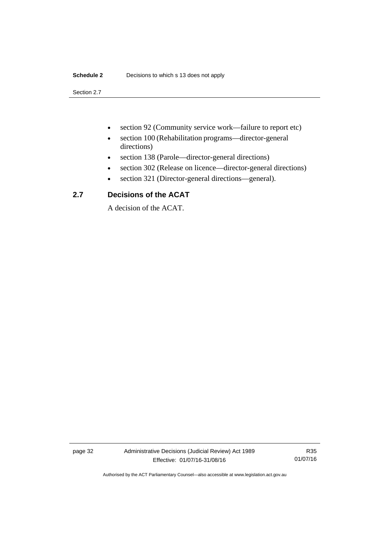## **Schedule 2** Decisions to which s 13 does not apply

Section 2.7

- section 92 (Community service work—failure to report etc)
- section 100 (Rehabilitation programs—director-general directions)
- section 138 (Parole—director-general directions)
- section 302 (Release on licence—director-general directions)
- section 321 (Director-general directions—general).

## <span id="page-35-0"></span>**2.7 Decisions of the ACAT**

A decision of the ACAT.

page 32 Administrative Decisions (Judicial Review) Act 1989 Effective: 01/07/16-31/08/16

R35 01/07/16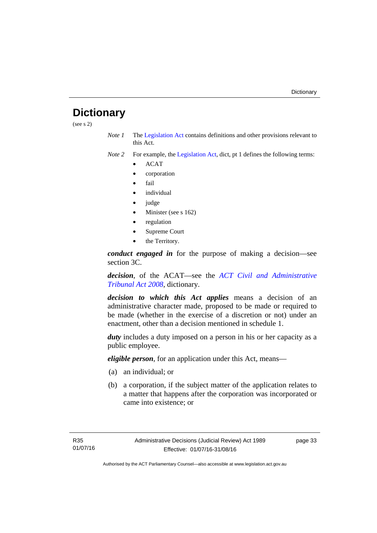## <span id="page-36-0"></span>**Dictionary**

(see s 2)

*Note 1* The [Legislation Act](http://www.legislation.act.gov.au/a/2001-14) contains definitions and other provisions relevant to this Act.

*Note 2* For example, the [Legislation Act,](http://www.legislation.act.gov.au/a/2001-14) dict, pt 1 defines the following terms:

- ACAT
- corporation
- fail
- *individual*
- judge
- Minister (see s 162)
- regulation
- Supreme Court
- the Territory.

*conduct engaged in* for the purpose of making a decision—see section 3C.

*decision*, of the ACAT—see the *[ACT Civil and Administrative](http://www.legislation.act.gov.au/a/2008-35)  [Tribunal Act 2008](http://www.legislation.act.gov.au/a/2008-35)*, dictionary.

*decision to which this Act applies* means a decision of an administrative character made, proposed to be made or required to be made (whether in the exercise of a discretion or not) under an enactment, other than a decision mentioned in schedule 1.

*duty* includes a duty imposed on a person in his or her capacity as a public employee.

*eligible person*, for an application under this Act, means—

- (a) an individual; or
- (b) a corporation, if the subject matter of the application relates to a matter that happens after the corporation was incorporated or came into existence; or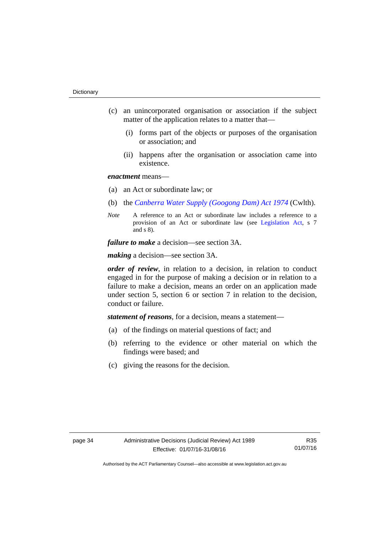- (c) an unincorporated organisation or association if the subject matter of the application relates to a matter that—
	- (i) forms part of the objects or purposes of the organisation or association; and
	- (ii) happens after the organisation or association came into existence.

## *enactment* means—

- (a) an Act or subordinate law; or
- (b) the *[Canberra Water Supply \(Googong Dam\) Act 1974](http://www.comlaw.gov.au/Details/C2008C00317)* (Cwlth).
- *Note* A reference to an Act or subordinate law includes a reference to a provision of an Act or subordinate law (see [Legislation Act](http://www.legislation.act.gov.au/a/2001-14), s 7 and s 8).

*failure to make* a decision—see section 3A.

*making* a decision—see section 3A.

*order of review*, in relation to a decision, in relation to conduct engaged in for the purpose of making a decision or in relation to a failure to make a decision, means an order on an application made under section 5, section 6 or section 7 in relation to the decision, conduct or failure.

*statement of reasons*, for a decision, means a statement—

- (a) of the findings on material questions of fact; and
- (b) referring to the evidence or other material on which the findings were based; and
- (c) giving the reasons for the decision.

R35 01/07/16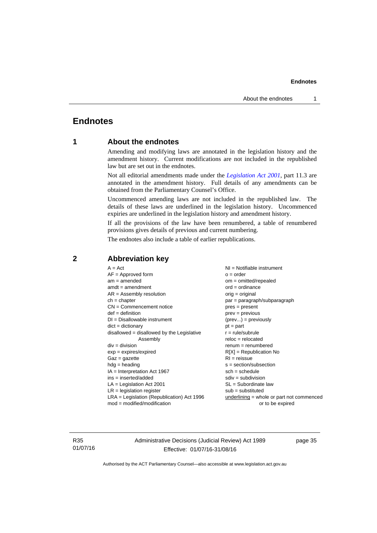## <span id="page-38-0"></span>**Endnotes**

## **1 About the endnotes**

Amending and modifying laws are annotated in the legislation history and the amendment history. Current modifications are not included in the republished law but are set out in the endnotes.

Not all editorial amendments made under the *[Legislation Act 2001](http://www.legislation.act.gov.au/a/2001-14)*, part 11.3 are annotated in the amendment history. Full details of any amendments can be obtained from the Parliamentary Counsel's Office.

Uncommenced amending laws are not included in the republished law. The details of these laws are underlined in the legislation history. Uncommenced expiries are underlined in the legislation history and amendment history.

If all the provisions of the law have been renumbered, a table of renumbered provisions gives details of previous and current numbering.

The endnotes also include a table of earlier republications.

| $A = Act$                                    | $NI = Notifiable$ instrument              |
|----------------------------------------------|-------------------------------------------|
| $AF =$ Approved form                         | $o = order$                               |
| $am = amended$                               | $om = omitted/repealed$                   |
| $amdt = amendment$                           | $ord = ordinance$                         |
| $AR = Assembly resolution$                   | $orig = original$                         |
| $ch = chapter$                               | par = paragraph/subparagraph              |
| $CN =$ Commencement notice                   | $pres = present$                          |
| $def = definition$                           | $prev = previous$                         |
| $DI = Disallowable instrument$               | $(\text{prev}) = \text{previously}$       |
| $dict = dictionary$                          | $pt = part$                               |
| $disallowed = disallowed by the Legislative$ | $r = rule/subrule$                        |
| Assembly                                     | $reloc = relocated$                       |
| $div = division$                             | $renum = renumbered$                      |
| $exp = expires/expired$                      | $R[X]$ = Republication No                 |
| $Gaz = gazette$                              | $RI = reissue$                            |
| $hdg =$ heading                              | s = section/subsection                    |
| $IA = Interpretation Act 1967$               | $sch = schedule$                          |
| ins = inserted/added                         | $sdiv = subdivision$                      |
| $LA =$ Legislation Act 2001                  | $SL = Subordinate$ law                    |
| $LR =$ legislation register                  | $sub =$ substituted                       |
| $LRA =$ Legislation (Republication) Act 1996 | underlining = whole or part not commenced |
| $mod = modified/modification$                | or to be expired                          |
|                                              |                                           |

## <span id="page-38-2"></span>**2 Abbreviation key**

R35 01/07/16 Administrative Decisions (Judicial Review) Act 1989 Effective: 01/07/16-31/08/16

page 35

<span id="page-38-1"></span>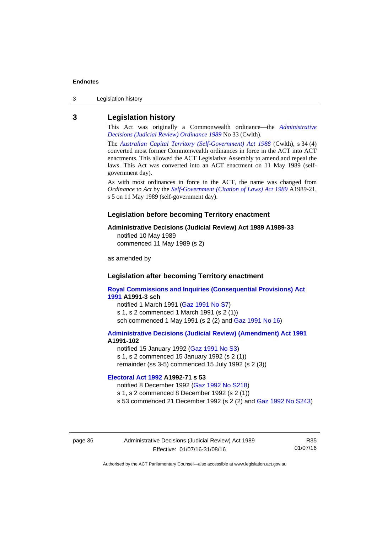3 Legislation history

#### <span id="page-39-0"></span>**3 Legislation history**

This Act was originally a Commonwealth ordinance—the *[Administrative](http://www.legislation.act.gov.au/a/alt_a1989-33co)  [Decisions \(Judicial Review\) Ordinance 1989](http://www.legislation.act.gov.au/a/alt_a1989-33co)* No 33 (Cwlth).

The *[Australian Capital Territory \(Self-Government\) Act 1988](http://www.comlaw.gov.au/Current/C2004A03699)* (Cwlth), s 34 (4) converted most former Commonwealth ordinances in force in the ACT into ACT enactments. This allowed the ACT Legislative Assembly to amend and repeal the laws. This Act was converted into an ACT enactment on 11 May 1989 (selfgovernment day).

As with most ordinances in force in the ACT, the name was changed from *Ordinance* to *Act* by the *[Self-Government \(Citation of Laws\) Act 1989](http://www.legislation.act.gov.au/a/alt_ord1989-21/default.asp)* A1989-21, s 5 on 11 May 1989 (self-government day).

#### **Legislation before becoming Territory enactment**

#### **Administrative Decisions (Judicial Review) Act 1989 A1989-33**

notified 10 May 1989 commenced 11 May 1989 (s 2)

as amended by

#### **Legislation after becoming Territory enactment**

**[Royal Commissions and Inquiries \(Consequential Provisions\) Act](http://www.legislation.act.gov.au/a/1991-3)  [1991](http://www.legislation.act.gov.au/a/1991-3) A1991-3 sch**  notified 1 March 1991 [\(Gaz 1991 No S7](http://www.legislation.act.gov.au/gaz/1991-S7/default.asp)) s 1, s 2 commenced 1 March 1991 (s 2 (1))

sch commenced 1 May 1991 (s 2 (2) and [Gaz 1991 No 16](http://www.legislation.act.gov.au/gaz/1991-16/default.asp))

#### **[Administrative Decisions \(Judicial Review\) \(Amendment\) Act 1991](http://www.legislation.act.gov.au/a/1991-102) A1991-102**

notified 15 January 1992 ([Gaz 1991 No S3\)](http://www.legislation.act.gov.au/gaz/1991-S3/default.asp) s 1, s 2 commenced 15 January 1992 (s 2 (1)) remainder (ss 3-5) commenced 15 July 1992 (s 2 (3))

### **[Electoral Act 1992](http://www.legislation.act.gov.au/a/1992-71) A1992-71 s 53**

notified 8 December 1992 ([Gaz 1992 No S218\)](http://www.legislation.act.gov.au/gaz/1992-S218/default.asp) s 1, s 2 commenced 8 December 1992 (s 2 (1)) s 53 commenced 21 December 1992 (s 2 (2) and [Gaz 1992 No S243\)](http://www.legislation.act.gov.au/gaz/1992-S243/default.asp)

page 36 Administrative Decisions (Judicial Review) Act 1989 Effective: 01/07/16-31/08/16

R35 01/07/16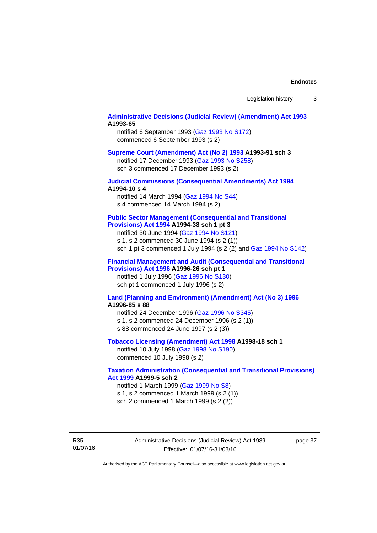#### **[Administrative Decisions \(Judicial Review\) \(Amendment\) Act 1993](http://www.legislation.act.gov.au/a/1993-65) A1993-65**

notified 6 September 1993 [\(Gaz 1993 No S172\)](http://www.legislation.act.gov.au/gaz/1993-S172/default.asp) commenced 6 September 1993 (s 2)

#### **[Supreme Court \(Amendment\) Act \(No 2\) 1993](http://www.legislation.act.gov.au/a/1993-91) A1993-91 sch 3**

notified 17 December 1993 [\(Gaz 1993 No S258](http://www.legislation.act.gov.au/gaz/1993-S258/default.asp)) sch 3 commenced 17 December 1993 (s 2)

#### **[Judicial Commissions \(Consequential Amendments\) Act 1994](http://www.legislation.act.gov.au/a/1994-10) A1994-10 s 4**

notified 14 March 1994 ([Gaz 1994 No S44](http://www.legislation.act.gov.au/gaz/1994-S44/default.asp)) s 4 commenced 14 March 1994 (s 2)

#### **[Public Sector Management \(Consequential and Transitional](http://www.legislation.act.gov.au/a/1994-38)  [Provisions\) Act 1994](http://www.legislation.act.gov.au/a/1994-38) A1994-38 sch 1 pt 3**

notified 30 June 1994 ([Gaz 1994 No S121\)](http://www.legislation.act.gov.au/gaz/1994-S121/default.asp)

s 1, s 2 commenced 30 June 1994 (s 2 (1))

sch 1 pt 3 commenced 1 July 1994 (s 2 (2) and [Gaz 1994 No S142](http://www.legislation.act.gov.au/gaz/1994-S142/default.asp))

#### **[Financial Management and Audit \(Consequential and Transitional](http://www.legislation.act.gov.au/a/1996-26)  [Provisions\) Act 1996](http://www.legislation.act.gov.au/a/1996-26) A1996-26 sch pt 1**

notified 1 July 1996 [\(Gaz 1996 No S130](http://www.legislation.act.gov.au/gaz/1996-S130/default.asp)) sch pt 1 commenced 1 July 1996 (s 2)

#### **[Land \(Planning and Environment\) \(Amendment\) Act \(No 3\) 1996](http://www.legislation.act.gov.au/a/1996-85) A1996-85 s 88**

notified 24 December 1996 [\(Gaz 1996 No S345](http://www.legislation.act.gov.au/gaz/1996-S345/default.asp)) s 1, s 2 commenced 24 December 1996 (s 2 (1)) s 88 commenced 24 June 1997 (s 2 (3))

#### **[Tobacco Licensing \(Amendment\) Act 1998](http://www.legislation.act.gov.au/a/1998-18) A1998-18 sch 1**

notified 10 July 1998 ([Gaz 1998 No S190\)](http://www.legislation.act.gov.au/gaz/1998-S190/default.asp) commenced 10 July 1998 (s 2)

#### **[Taxation Administration \(Consequential and Transitional Provisions\)](http://www.legislation.act.gov.au/a/1999-5)  [Act 1999](http://www.legislation.act.gov.au/a/1999-5) A1999-5 sch 2**

notified 1 March 1999 [\(Gaz 1999 No S8](http://www.legislation.act.gov.au/gaz/1999-S8/default.asp)) s 1, s 2 commenced 1 March 1999 (s 2 (1)) sch 2 commenced 1 March 1999 (s 2 (2))

R35 01/07/16 Administrative Decisions (Judicial Review) Act 1989 Effective: 01/07/16-31/08/16

page 37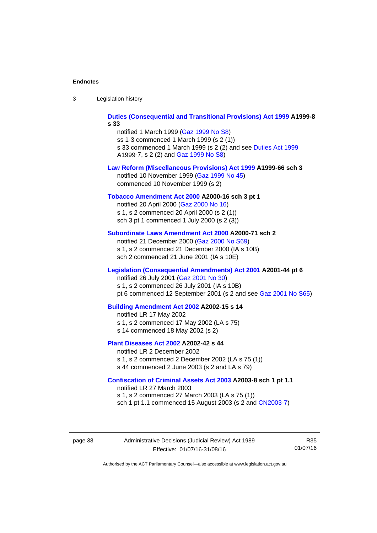| -3 | Legislation history |  |
|----|---------------------|--|
|----|---------------------|--|

**[Duties \(Consequential and Transitional Provisions\) Act 1999](http://www.legislation.act.gov.au/a/1999-8) A1999-8 s 33** 

notified 1 March 1999 [\(Gaz 1999 No S8](http://www.legislation.act.gov.au/gaz/1999-S8/default.asp)) ss 1-3 commenced 1 March 1999 (s 2 (1)) s 33 commenced 1 March 1999 (s 2 (2) and see [Duties Act 1999](http://www.legislation.act.gov.au/a/1999-7) A1999-7, s 2 (2) and [Gaz 1999 No S8\)](http://www.legislation.act.gov.au/gaz/1999-S8/default.asp)

#### **[Law Reform \(Miscellaneous Provisions\) Act 1999](http://www.legislation.act.gov.au/a/1999-66) A1999-66 sch 3**  notified 10 November 1999 [\(Gaz 1999 No 45](http://www.legislation.act.gov.au/gaz/1999-45/default.asp))

commenced 10 November 1999 (s 2)

#### **[Tobacco Amendment Act 2000](http://www.legislation.act.gov.au/a/2000-16) A2000-16 sch 3 pt 1**

notified 20 April 2000 [\(Gaz 2000 No 16\)](http://www.legislation.act.gov.au/gaz/2000-16/default.asp) s 1, s 2 commenced 20 April 2000 (s 2 (1)) sch 3 pt 1 commenced 1 July 2000 (s 2 (3))

#### **[Subordinate Laws Amendment Act 2000](http://www.legislation.act.gov.au/a/2000-71) A2000-71 sch 2**

notified 21 December 2000 [\(Gaz 2000 No S69\)](http://www.legislation.act.gov.au/gaz/2000-S69/default.asp) s 1, s 2 commenced 21 December 2000 (IA s 10B) sch 2 commenced 21 June 2001 (IA s 10E)

#### **[Legislation \(Consequential Amendments\) Act 2001](http://www.legislation.act.gov.au/a/2001-44) A2001-44 pt 6**

notified 26 July 2001 ([Gaz 2001 No 30\)](http://www.legislation.act.gov.au/gaz/2001-30/default.asp)

s 1, s 2 commenced 26 July 2001 (IA s 10B)

pt 6 commenced 12 September 2001 (s 2 and see [Gaz 2001 No S65\)](http://www.legislation.act.gov.au/gaz/2001-S65/default.asp)

#### **[Building Amendment Act 2002](http://www.legislation.act.gov.au/a/2002-15) A2002-15 s 14**

notified LR 17 May 2002

- s 1, s 2 commenced 17 May 2002 (LA s 75)
- s 14 commenced 18 May 2002 (s 2)

#### **[Plant Diseases Act 2002](http://www.legislation.act.gov.au/a/2002-42) A2002-42 s 44**

notified LR 2 December 2002 s 1, s 2 commenced 2 December 2002 (LA s 75 (1)) s 44 commenced 2 June 2003 (s 2 and LA s 79)

#### **[Confiscation of Criminal Assets Act 2003](http://www.legislation.act.gov.au/a/2003-8) A2003-8 sch 1 pt 1.1**

notified LR 27 March 2003 s 1, s 2 commenced 27 March 2003 (LA s 75 (1)) sch 1 pt 1.1 commenced 15 August 2003 (s 2 and [CN2003-7](http://www.legislation.act.gov.au/cn/2003-7/default.asp))

page 38 Administrative Decisions (Judicial Review) Act 1989 Effective: 01/07/16-31/08/16

R35 01/07/16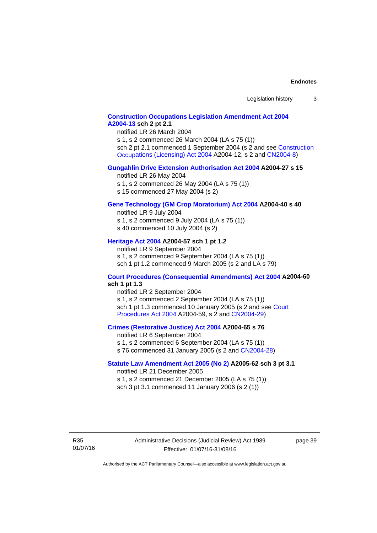## **[Construction Occupations Legislation Amendment Act 2004](http://www.legislation.act.gov.au/a/2004-13)  [A2004-13](http://www.legislation.act.gov.au/a/2004-13) sch 2 pt 2.1**

notified LR 26 March 2004

s 1, s 2 commenced 26 March 2004 (LA s 75 (1)) sch 2 pt 2.1 commenced 1 September 2004 (s 2 and see [Construction](http://www.legislation.act.gov.au/a/2004-12)  [Occupations \(Licensing\) Act 2004](http://www.legislation.act.gov.au/a/2004-12) A2004-12, s 2 and [CN2004-8\)](http://www.legislation.act.gov.au/cn/2004-8/default.asp)

#### **[Gungahlin Drive Extension Authorisation Act 2004](http://www.legislation.act.gov.au/a/2004-27) A2004-27 s 15**

notified LR 26 May 2004

- s 1, s 2 commenced 26 May 2004 (LA s 75 (1))
- s 15 commenced 27 May 2004 (s 2)

#### **[Gene Technology \(GM Crop Moratorium\) Act 2004](http://www.legislation.act.gov.au/a/2004-40) A2004-40 s 40**

notified LR 9 July 2004

- s 1, s 2 commenced 9 July 2004 (LA s 75 (1)) s 40 commenced 10 July 2004 (s 2)
- 

## **[Heritage Act 2004](http://www.legislation.act.gov.au/a/2004-57) A2004-57 sch 1 pt 1.2**

notified LR 9 September 2004 s 1, s 2 commenced 9 September 2004 (LA s 75 (1)) sch 1 pt 1.2 commenced 9 March 2005 (s 2 and LA s 79)

#### **[Court Procedures \(Consequential Amendments\) Act 2004](http://www.legislation.act.gov.au/a/2004-60) A2004-60 sch 1 pt 1.3**

notified LR 2 September 2004 s 1, s 2 commenced 2 September 2004 (LA s 75 (1)) sch 1 pt 1.3 commenced 10 January 2005 (s 2 and see [Court](http://www.legislation.act.gov.au/a/2004-59)  [Procedures Act 2004](http://www.legislation.act.gov.au/a/2004-59) A2004-59, s 2 and [CN2004-29\)](http://www.legislation.act.gov.au/cn/2004-29/default.asp)

#### **[Crimes \(Restorative Justice\) Act 2004](http://www.legislation.act.gov.au/a/2004-65) A2004-65 s 76**

notified LR 6 September 2004 s 1, s 2 commenced 6 September 2004 (LA s 75 (1)) s 76 commenced 31 January 2005 (s 2 and [CN2004-28](http://www.legislation.act.gov.au/cn/2004-28/default.asp))

#### **[Statute Law Amendment Act 2005 \(No 2\)](http://www.legislation.act.gov.au/a/2005-62) A2005-62 sch 3 pt 3.1**

notified LR 21 December 2005 s 1, s 2 commenced 21 December 2005 (LA s 75 (1)) sch 3 pt 3.1 commenced 11 January 2006 (s 2 (1))

R35 01/07/16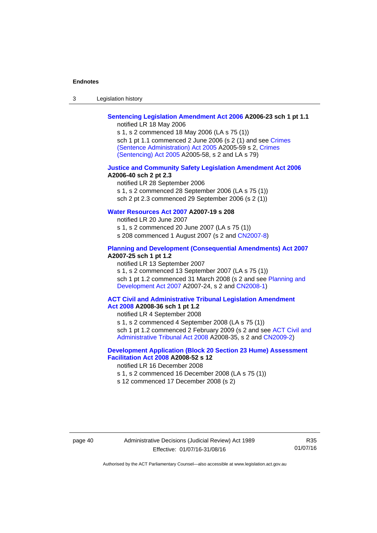| $\sqrt{2}$<br>- 3 | Legislation history |  |
|-------------------|---------------------|--|
|-------------------|---------------------|--|

## **[Sentencing Legislation Amendment Act 2006](http://www.legislation.act.gov.au/a/2006-23) A2006-23 sch 1 pt 1.1**

notified LR 18 May 2006

s 1, s 2 commenced 18 May 2006 (LA s 75 (1)) sch 1 pt 1.1 commenced 2 June 2006 (s 2 (1) and see [Crimes](http://www.legislation.act.gov.au/a/2005-59)  [\(Sentence Administration\) Act 2005](http://www.legislation.act.gov.au/a/2005-59) A2005-59 s 2, [Crimes](http://www.legislation.act.gov.au/a/2005-58)  [\(Sentencing\) Act 2005](http://www.legislation.act.gov.au/a/2005-58) A2005-58, s 2 and LA s 79)

#### **[Justice and Community Safety Legislation Amendment Act 2006](http://www.legislation.act.gov.au/a/2006-40) A2006-40 sch 2 pt 2.3**

notified LR 28 September 2006 s 1, s 2 commenced 28 September 2006 (LA s 75 (1)) sch 2 pt 2.3 commenced 29 September 2006 (s 2 (1))

## **[Water Resources Act 2007](http://www.legislation.act.gov.au/a/2007-19) A2007-19 s 208**

notified LR 20 June 2007 s 1, s 2 commenced 20 June 2007 (LA s 75 (1)) s 208 commenced 1 August 2007 (s 2 and [CN2007-8](http://www.legislation.act.gov.au/cn/2007-8/default.asp))

#### **[Planning and Development \(Consequential Amendments\) Act 2007](http://www.legislation.act.gov.au/a/2007-25) A2007-25 sch 1 pt 1.2**

notified LR 13 September 2007

s 1, s 2 commenced 13 September 2007 (LA s 75 (1)) sch 1 pt 1.2 commenced 31 March 2008 (s 2 and see Planning and [Development Act 2007](http://www.legislation.act.gov.au/a/2007-24) A2007-24, s 2 and [CN2008-1](http://www.legislation.act.gov.au/cn/2008-1/default.asp))

#### **[ACT Civil and Administrative Tribunal Legislation Amendment](http://www.legislation.act.gov.au/a/2008-36)  [Act 2008](http://www.legislation.act.gov.au/a/2008-36) A2008-36 sch 1 pt 1.2**

notified LR 4 September 2008

s 1, s 2 commenced 4 September 2008 (LA s 75 (1))

sch 1 pt 1.2 commenced 2 February 2009 (s 2 and see [ACT Civil and](http://www.legislation.act.gov.au/a/2008-35)  [Administrative Tribunal Act 2008](http://www.legislation.act.gov.au/a/2008-35) A2008-35, s 2 and [CN2009-2\)](http://www.legislation.act.gov.au/cn/2009-2/default.asp)

## **[Development Application \(Block 20 Section 23 Hume\) Assessment](http://www.legislation.act.gov.au/a/2008-52)  [Facilitation Act 2008](http://www.legislation.act.gov.au/a/2008-52) A2008-52 s 12**

notified LR 16 December 2008

s 1, s 2 commenced 16 December 2008 (LA s 75 (1))

s 12 commenced 17 December 2008 (s 2)

R35 01/07/16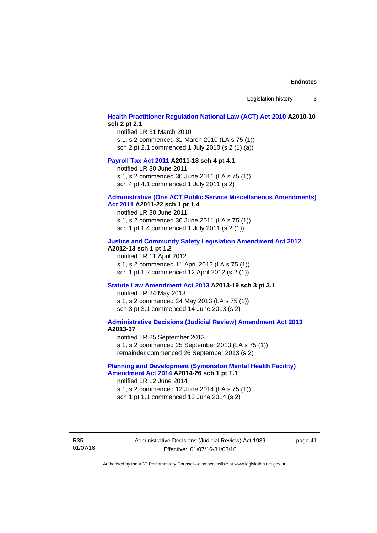Legislation history 3

### **[Health Practitioner Regulation National Law \(ACT\) Act 2010](http://www.legislation.act.gov.au/a/2010-10) A2010-10 sch 2 pt 2.1**

notified LR 31 March 2010 s 1, s 2 commenced 31 March 2010 (LA s 75 (1)) sch 2 pt 2.1 commenced 1 July 2010 (s 2 (1) (a))

#### **[Payroll Tax Act 2011](http://www.legislation.act.gov.au/a/2011-18) A2011-18 sch 4 pt 4.1**

notified LR 30 June 2011 s 1, s 2 commenced 30 June 2011 (LA s 75 (1)) sch 4 pt 4.1 commenced 1 July 2011 (s 2)

#### **[Administrative \(One ACT Public Service Miscellaneous Amendments\)](http://www.legislation.act.gov.au/a/2011-22)**

#### **[Act 2011](http://www.legislation.act.gov.au/a/2011-22) A2011-22 sch 1 pt 1.4**

notified LR 30 June 2011 s 1, s 2 commenced 30 June 2011 (LA s 75 (1)) sch 1 pt 1.4 commenced 1 July 2011 (s 2 (1))

#### **[Justice and Community Safety Legislation Amendment Act 2012](http://www.legislation.act.gov.au/a/2012-13)**

### **A2012-13 sch 1 pt 1.2**

notified LR 11 April 2012 s 1, s 2 commenced 11 April 2012 (LA s 75 (1)) sch 1 pt 1.2 commenced 12 April 2012 (s 2 (1))

#### **[Statute Law Amendment Act 2013](http://www.legislation.act.gov.au/a/2013-19) A2013-19 sch 3 pt 3.1**

notified LR 24 May 2013 s 1, s 2 commenced 24 May 2013 (LA s 75 (1)) sch 3 pt 3.1 commenced 14 June 2013 (s 2)

#### **[Administrative Decisions \(Judicial Review\) Amendment Act 2013](http://www.legislation.act.gov.au/a/2013-37) A2013-37**

notified LR 25 September 2013 s 1, s 2 commenced 25 September 2013 (LA s 75 (1)) remainder commenced 26 September 2013 (s 2)

#### **[Planning and Development \(Symonston Mental Health Facility\)](http://www.legislation.act.gov.au/a/2014-26)  [Amendment Act 2014](http://www.legislation.act.gov.au/a/2014-26) A2014-26 sch 1 pt 1.1**

notified LR 12 June 2014 s 1, s 2 commenced 12 June 2014 (LA s 75 (1)) sch 1 pt 1.1 commenced 13 June 2014 (s 2)

R35 01/07/16 Administrative Decisions (Judicial Review) Act 1989 Effective: 01/07/16-31/08/16

page 41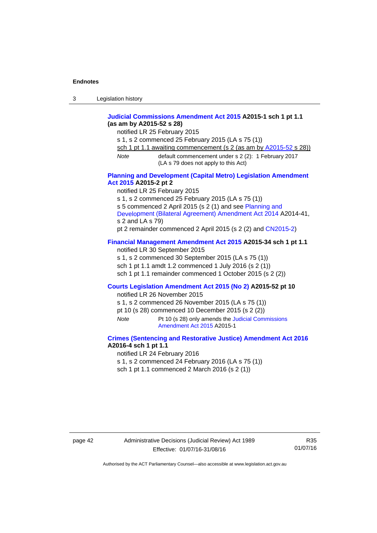| 3 | Legislation history |  |
|---|---------------------|--|
|---|---------------------|--|

#### **[Judicial Commissions Amendment Act 2015](http://www.legislation.act.gov.au/a/2015-1) A2015-1 sch 1 pt 1.1 (as am by A2015-52 s 28)**

notified LR 25 February 2015

s 1, s 2 commenced 25 February 2015 (LA s 75 (1))

sch 1 pt 1.1 awaiting commencement (s 2 (as am by [A2015-52](http://www.legislation.act.gov.au/a/2015-52) s 28))

*Note* default commencement under s 2 (2): 1 February 2017 (LA s 79 does not apply to this Act)

#### **[Planning and Development \(Capital Metro\) Legislation Amendment](http://www.legislation.act.gov.au/a/2015-2)  [Act 2015](http://www.legislation.act.gov.au/a/2015-2) A2015-2 pt 2**

notified LR 25 February 2015

s 1, s 2 commenced 25 February 2015 (LA s 75 (1))

s 5 commenced 2 April 2015 (s 2 (1) and see [Planning and](http://www.legislation.act.gov.au/a/2014-41/default.asp) 

[Development \(Bilateral Agreement\) Amendment Act 2014](http://www.legislation.act.gov.au/a/2014-41/default.asp) A2014-41, s 2 and LA s 79)

pt 2 remainder commenced 2 April 2015 (s 2 (2) and [CN2015-2](http://www.legislation.act.gov.au/cn/2015-2/default.asp))

## **[Financial Management Amendment Act 2015](http://www.legislation.act.gov.au/a/2015-34/default.asp) A2015-34 sch 1 pt 1.1**

notified LR 30 September 2015 s 1, s 2 commenced 30 September 2015 (LA s 75 (1)) sch 1 pt 1.1 amdt 1.2 commenced 1 July 2016 (s 2 (1))

sch 1 pt 1.1 remainder commenced 1 October 2015 (s 2 (2))

#### **[Courts Legislation Amendment Act 2015 \(No 2\)](http://www.legislation.act.gov.au/a/2015-52/default.asp) A2015-52 pt 10**

notified LR 26 November 2015

s 1, s 2 commenced 26 November 2015 (LA s 75 (1))

pt 10 (s 28) commenced 10 December 2015 (s 2 (2))

*Note* Pt 10 (s 28) only amends the [Judicial Commissions](http://www.legislation.act.gov.au/a/2015-1)  [Amendment Act 2015](http://www.legislation.act.gov.au/a/2015-1) A2015-1

### **[Crimes \(Sentencing and Restorative Justice\) Amendment Act 2016](http://www.legislation.act.gov.au/a/2016-4/default.asp) A2016-4 sch 1 pt 1.1**

notified LR 24 February 2016

s 1, s 2 commenced 24 February 2016 (LA s 75 (1))

sch 1 pt 1.1 commenced 2 March 2016 (s 2 (1))

page 42 Administrative Decisions (Judicial Review) Act 1989 Effective: 01/07/16-31/08/16

R35 01/07/16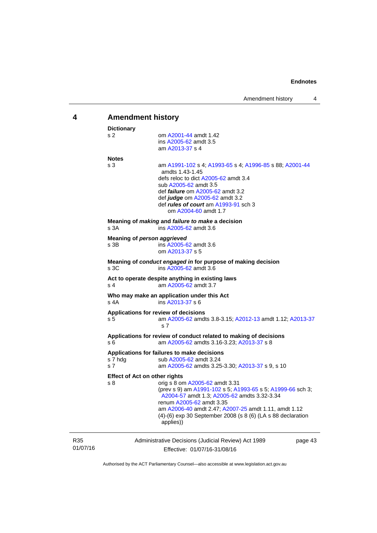<span id="page-46-0"></span>

| 4               | <b>Amendment history</b>                                                                                                                                                                                                                                                                                                                                   |  |  |  |
|-----------------|------------------------------------------------------------------------------------------------------------------------------------------------------------------------------------------------------------------------------------------------------------------------------------------------------------------------------------------------------------|--|--|--|
|                 | <b>Dictionary</b><br>s <sub>2</sub><br>om A2001-44 amdt 1.42<br>ins A2005-62 amdt 3.5<br>am A2013-37 s 4                                                                                                                                                                                                                                                   |  |  |  |
|                 | <b>Notes</b><br>s 3<br>am A1991-102 s 4; A1993-65 s 4; A1996-85 s 88; A2001-44<br>amdts 1.43-1.45<br>defs reloc to dict A2005-62 amdt 3.4<br>sub A2005-62 amdt 3.5<br>def <i>failure</i> om A2005-62 amdt 3.2<br>def judge om A2005-62 amdt 3.2<br>def <i>rules of court</i> am A1993-91 sch 3<br>om A2004-60 amdt 1.7                                     |  |  |  |
|                 | Meaning of <i>making</i> and <i>failure to make</i> a decision<br>s 3A<br>ins A2005-62 amdt 3.6                                                                                                                                                                                                                                                            |  |  |  |
|                 | Meaning of person aggrieved<br>s 3B<br>ins A2005-62 amdt 3.6<br>om A2013-37 s 5                                                                                                                                                                                                                                                                            |  |  |  |
|                 | Meaning of conduct engaged in for purpose of making decision<br>s 3C<br>ins A2005-62 amdt 3.6                                                                                                                                                                                                                                                              |  |  |  |
|                 | Act to operate despite anything in existing laws<br>am A2005-62 amdt 3.7<br>s 4                                                                                                                                                                                                                                                                            |  |  |  |
|                 | Who may make an application under this Act<br>ins A2013-37 s 6<br>s 4A                                                                                                                                                                                                                                                                                     |  |  |  |
|                 | Applications for review of decisions<br>am A2005-62 amdts 3.8-3.15; A2012-13 amdt 1.12; A2013-37<br>s 5<br>s 7                                                                                                                                                                                                                                             |  |  |  |
|                 | Applications for review of conduct related to making of decisions<br>am A2005-62 amdts 3.16-3.23; A2013-37 s 8<br>s 6                                                                                                                                                                                                                                      |  |  |  |
|                 | Applications for failures to make decisions<br>s 7 hdg<br>sub A2005-62 amdt 3.24<br>s <sub>7</sub><br>am A2005-62 amdts 3.25-3.30; A2013-37 s 9, s 10                                                                                                                                                                                                      |  |  |  |
|                 | <b>Effect of Act on other rights</b><br>s 8<br>orig s 8 om A2005-62 amdt 3.31<br>(prev s 9) am A1991-102 s 5; A1993-65 s 5; A1999-66 sch 3;<br>A2004-57 amdt 1.3; A2005-62 amdts 3.32-3.34<br>renum A2005-62 amdt 3.35<br>am A2006-40 amdt 2.47; A2007-25 amdt 1.11, amdt 1.12<br>(4)-(6) exp 30 September 2008 (s 8 (6) (LA s 88 declaration<br>applies)) |  |  |  |
| R35<br>01/07/16 | Administrative Decisions (Judicial Review) Act 1989<br>page 43<br>Effective: 01/07/16-31/08/16                                                                                                                                                                                                                                                             |  |  |  |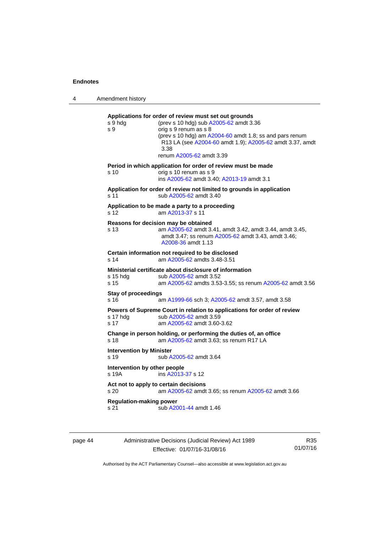4 Amendment history **Applications for order of review must set out grounds**  s 9 hdg (prev s 10 hdg) sub [A2005-62](http://www.legislation.act.gov.au/a/2005-62) amdt 3.36 s 9 orig s 9 renum as s 8 (prev s 10 hdg) am [A2004-60](http://www.legislation.act.gov.au/a/2004-60) amdt 1.8; ss and pars renum R13 LA (see [A2004-60](http://www.legislation.act.gov.au/a/2004-60) amdt 1.9); [A2005-62](http://www.legislation.act.gov.au/a/2005-62) amdt 3.37, amdt 3.38 renum [A2005-62](http://www.legislation.act.gov.au/a/2005-62) amdt 3.39 **Period in which application for order of review must be made**  s 10 orig s 10 renum as s 9 ins [A2005-62](http://www.legislation.act.gov.au/a/2005-62) amdt 3.40; [A2013-19](http://www.legislation.act.gov.au/a/2013-19) amdt 3.1 **Application for order of review not limited to grounds in application**  s 11 sub [A2005-62](http://www.legislation.act.gov.au/a/2005-62) amdt 3.40 **Application to be made a party to a proceeding**  s 12 am [A2013-37](http://www.legislation.act.gov.au/a/2013-37) s 11 **Reasons for decision may be obtained**  s 13 am [A2005-62](http://www.legislation.act.gov.au/a/2005-62) amdt 3.41, amdt 3.42, amdt 3.44, amdt 3.45, amdt 3.47; ss renum [A2005-62](http://www.legislation.act.gov.au/a/2005-62) amdt 3.43, amdt 3.46; [A2008-36](http://www.legislation.act.gov.au/a/2008-36) amdt 1.13 **Certain information not required to be disclosed**<br>s 14 am A2005-62 amdts 3.48-3.51 am [A2005-62](http://www.legislation.act.gov.au/a/2005-62) amdts 3.48-3.51 **Ministerial certificate about disclosure of information**  s 15 hdg sub [A2005-62](http://www.legislation.act.gov.au/a/2005-62) amdt 3.52 s 15 am [A2005-62](http://www.legislation.act.gov.au/a/2005-62) amdts 3.53-3.55; ss renum [A2005-62](http://www.legislation.act.gov.au/a/2005-62) amdt 3.56 **Stay of proceedings**  s 16 am [A1999-66](http://www.legislation.act.gov.au/a/1999-66) sch 3; [A2005-62](http://www.legislation.act.gov.au/a/2005-62) amdt 3.57, amdt 3.58 **Powers of Supreme Court in relation to applications for order of review**  s 17 hdg sub [A2005-62](http://www.legislation.act.gov.au/a/2005-62) amdt 3.59 s 17 am [A2005-62](http://www.legislation.act.gov.au/a/2005-62) amdt 3.60-3.62 **Change in person holding, or performing the duties of, an office**  s 18 **am [A2005-62](http://www.legislation.act.gov.au/a/2005-62)** amdt 3.63; ss renum R17 LA **Intervention by Minister**  s 19 sub [A2005-62](http://www.legislation.act.gov.au/a/2005-62) amdt 3.64

> **Intervention by other people**  s 19A ins [A2013-37](http://www.legislation.act.gov.au/a/2013-37) s 12 **Act not to apply to certain decisions**  s 20 am [A2005-62](http://www.legislation.act.gov.au/a/2005-62) amdt 3.65; ss renum [A2005-62](http://www.legislation.act.gov.au/a/2005-62) amdt 3.66 **Regulation-making power**

s 21 sub [A2001-44](http://www.legislation.act.gov.au/a/2001-44) amdt 1.46

page 44 Administrative Decisions (Judicial Review) Act 1989 Effective: 01/07/16-31/08/16

R35 01/07/16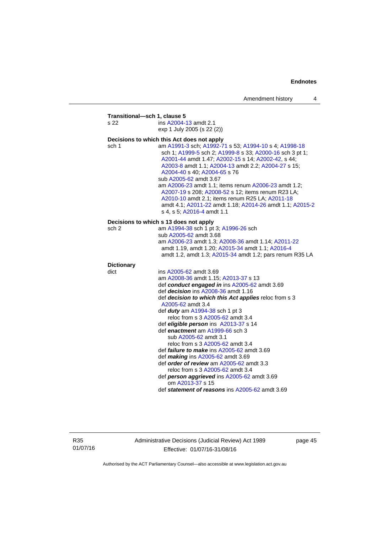| s 22              | ins A2004-13 amdt 2.1                                                                                                                                                                                                                                                                                                                                                                                                                                                                                                                               |
|-------------------|-----------------------------------------------------------------------------------------------------------------------------------------------------------------------------------------------------------------------------------------------------------------------------------------------------------------------------------------------------------------------------------------------------------------------------------------------------------------------------------------------------------------------------------------------------|
|                   | exp 1 July 2005 (s 22 (2))                                                                                                                                                                                                                                                                                                                                                                                                                                                                                                                          |
|                   | Decisions to which this Act does not apply                                                                                                                                                                                                                                                                                                                                                                                                                                                                                                          |
| sch 1             | am A1991-3 sch; A1992-71 s 53; A1994-10 s 4; A1998-18<br>sch 1; A1999-5 sch 2; A1999-8 s 33; A2000-16 sch 3 pt 1;<br>A2001-44 amdt 1.47; A2002-15 s 14; A2002-42, s 44;<br>A2003-8 amdt 1.1; A2004-13 amdt 2.2; A2004-27 s 15;<br>A2004-40 s 40; A2004-65 s 76<br>sub A2005-62 amdt 3.67<br>am A2006-23 amdt 1.1; items renum A2006-23 amdt 1.2;<br>A2007-19 s 208; A2008-52 s 12; items renum R23 LA;<br>A2010-10 amdt 2.1; items renum R25 LA; A2011-18<br>amdt 4.1; A2011-22 amdt 1.18; A2014-26 amdt 1.1; A2015-2<br>s 4, s 5; A2016-4 amdt 1.1 |
|                   | Decisions to which s 13 does not apply                                                                                                                                                                                                                                                                                                                                                                                                                                                                                                              |
| sch 2             | am A1994-38 sch 1 pt 3; A1996-26 sch                                                                                                                                                                                                                                                                                                                                                                                                                                                                                                                |
|                   | sub A2005-62 amdt 3.68                                                                                                                                                                                                                                                                                                                                                                                                                                                                                                                              |
|                   | am A2006-23 amdt 1.3; A2008-36 amdt 1.14; A2011-22                                                                                                                                                                                                                                                                                                                                                                                                                                                                                                  |
|                   | amdt 1.19, amdt 1.20; A2015-34 amdt 1.1; A2016-4                                                                                                                                                                                                                                                                                                                                                                                                                                                                                                    |
|                   | amdt 1.2, amdt 1.3; A2015-34 amdt 1.2; pars renum R35 LA                                                                                                                                                                                                                                                                                                                                                                                                                                                                                            |
| <b>Dictionary</b> |                                                                                                                                                                                                                                                                                                                                                                                                                                                                                                                                                     |
| dict              | ins A2005-62 amdt 3.69                                                                                                                                                                                                                                                                                                                                                                                                                                                                                                                              |
|                   | am A2008-36 amdt 1.15; A2013-37 s 13                                                                                                                                                                                                                                                                                                                                                                                                                                                                                                                |
|                   | def conduct engaged in ins A2005-62 amdt 3.69                                                                                                                                                                                                                                                                                                                                                                                                                                                                                                       |
|                   | def decision ins A2008-36 amdt 1.16                                                                                                                                                                                                                                                                                                                                                                                                                                                                                                                 |
|                   | def decision to which this Act applies reloc from s 3<br>A2005-62 amdt 3.4                                                                                                                                                                                                                                                                                                                                                                                                                                                                          |
|                   | def <i>duty</i> am A1994-38 sch 1 pt 3                                                                                                                                                                                                                                                                                                                                                                                                                                                                                                              |
|                   | reloc from s 3 A2005-62 amdt 3.4                                                                                                                                                                                                                                                                                                                                                                                                                                                                                                                    |
|                   | def eligible person ins A2013-37 s 14                                                                                                                                                                                                                                                                                                                                                                                                                                                                                                               |
|                   | def enactment am A1999-66 sch 3                                                                                                                                                                                                                                                                                                                                                                                                                                                                                                                     |
|                   | sub A2005-62 amdt 3.1                                                                                                                                                                                                                                                                                                                                                                                                                                                                                                                               |
|                   | reloc from s 3 A2005-62 amdt 3.4                                                                                                                                                                                                                                                                                                                                                                                                                                                                                                                    |
|                   | def <i>failure to make</i> ins A2005-62 amdt 3.69                                                                                                                                                                                                                                                                                                                                                                                                                                                                                                   |
|                   | def making ins A2005-62 amdt 3.69                                                                                                                                                                                                                                                                                                                                                                                                                                                                                                                   |
|                   | def order of review am A2005-62 amdt 3.3                                                                                                                                                                                                                                                                                                                                                                                                                                                                                                            |
|                   | reloc from s 3 A2005-62 amdt 3.4                                                                                                                                                                                                                                                                                                                                                                                                                                                                                                                    |
|                   | def person aggrieved ins A2005-62 amdt 3.69                                                                                                                                                                                                                                                                                                                                                                                                                                                                                                         |
|                   | om A2013-37 s 15<br>def statement of reasons ins A2005-62 amdt 3.69                                                                                                                                                                                                                                                                                                                                                                                                                                                                                 |
|                   |                                                                                                                                                                                                                                                                                                                                                                                                                                                                                                                                                     |

R35 01/07/16 Administrative Decisions (Judicial Review) Act 1989 Effective: 01/07/16-31/08/16

page 45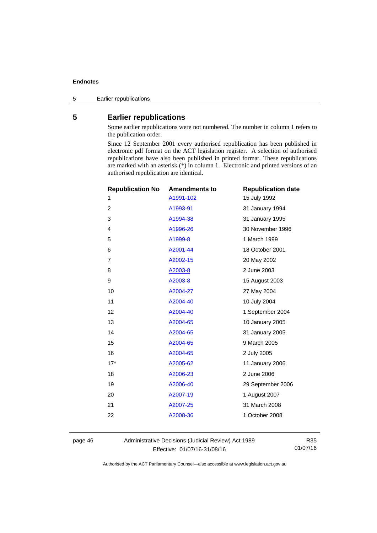5 Earlier republications

## <span id="page-49-0"></span>**5 Earlier republications**

Some earlier republications were not numbered. The number in column 1 refers to the publication order.

Since 12 September 2001 every authorised republication has been published in electronic pdf format on the ACT legislation register. A selection of authorised republications have also been published in printed format. These republications are marked with an asterisk (\*) in column 1. Electronic and printed versions of an authorised republication are identical.

| <b>Republication No</b> | <b>Amendments to</b> | <b>Republication date</b> |
|-------------------------|----------------------|---------------------------|
| 1                       | A1991-102            | 15 July 1992              |
| $\overline{2}$          | A1993-91             | 31 January 1994           |
| 3                       | A1994-38             | 31 January 1995           |
| 4                       | A1996-26             | 30 November 1996          |
| 5                       | A1999-8              | 1 March 1999              |
| 6                       | A2001-44             | 18 October 2001           |
| 7                       | A2002-15             | 20 May 2002               |
| 8                       | A2003-8              | 2 June 2003               |
| 9                       | A2003-8              | 15 August 2003            |
| 10                      | A2004-27             | 27 May 2004               |
| 11                      | A2004-40             | 10 July 2004              |
| 12                      | A2004-40             | 1 September 2004          |
| 13                      | A2004-65             | 10 January 2005           |
| 14                      | A2004-65             | 31 January 2005           |
| 15                      | A2004-65             | 9 March 2005              |
| 16                      | A2004-65             | 2 July 2005               |
| $17*$                   | A2005-62             | 11 January 2006           |
| 18                      | A2006-23             | 2 June 2006               |
| 19                      | A2006-40             | 29 September 2006         |
| 20                      | A2007-19             | 1 August 2007             |
| 21                      | A2007-25             | 31 March 2008             |
| 22                      | A2008-36             | 1 October 2008            |
|                         |                      |                           |

page 46 Administrative Decisions (Judicial Review) Act 1989 Effective: 01/07/16-31/08/16

R35 01/07/16